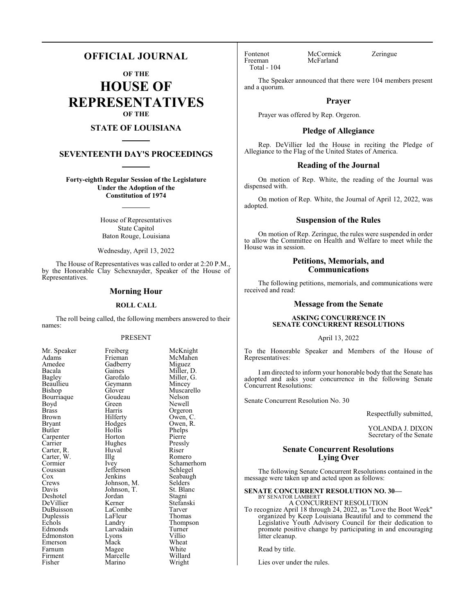# **OFFICIAL JOURNAL**

**OF THE**

**HOUSE OF REPRESENTATIVES OF THE**

# **STATE OF LOUISIANA**

# **SEVENTEENTH DAY'S PROCEEDINGS**

**Forty-eighth Regular Session of the Legislature Under the Adoption of the Constitution of 1974**

> House of Representatives State Capitol Baton Rouge, Louisiana

Wednesday, April 13, 2022

The House of Representatives was called to order at 2:20 P.M., by the Honorable Clay Schexnayder, Speaker of the House of Representatives.

### **Morning Hour**

#### **ROLL CALL**

The roll being called, the following members answered to their names:

#### PRESENT

Amedee Gadberry<br>Bacala Gaines Beaullieu Geymann<br>Bishop Glover Bourriaque Goude<br>Boyd Green Carter, W. Illg<br>Cormier Ivey Coussan Jefferson<br>Cox Jenkins Duplessis LaFleur<br>
Echols Landry

Mr. Speaker Freiberg McKnight<br>
Adams Frieman McMahen Adams Frieman McMahen<br>Amedee Gadberry Miguez Bacala Gaines Miller, D.<br>Bagley Garofalo Miller, G. Bagley Garofalo Miller, G.<br>Beaullieu Geymann Mincey Glover Muscarello<br>Goudeau Nelson Boyd Green Newell<br>Brass Harris Orgeror Brass Harris Orgeron Brown Hilferty Owen, C.<br>Bryant Hodges Owen, R. Bryant Hodges Owen, R. Hollis Phelps<br>
Horton Pierre Carpenter Horton Pierre<br>Carrier Hughes Pressly Hughes Pressl<br>Huval Riser Carter, R. Huval Riser Cormier Ivey Schamerhorn<br>Coussan Jefferson Schlegel Cox Jenkins Seabaugh<br>Crews Johnson, M. Selders Crews Johnson, M. Selders<br>Davis Johnson, T. St. Blanc Johnson, T.<br>Jordan Deshotel Jordan Stagni DeVillier Kerner Stefans<br>DuBuisson LaCombe Tarver LaCombe Tarver<br>
LaFleur Thomas Echols Landry Thompson<br>Edmonds Larvadain Turner Larvadain Turner<br>Lyons Villio Edmonston Lyons Villio<br>
Emerson Mack Wheat Emerson Mack Wheat<br>
Farnum Magee White Farnum Magee White<br>Firment Marcelle Willard Firment Marcelle Willard<br>
Fisher Marino Wright

Marino

Fontenot McCormick Zeringue<br>Freeman McFarland Total - 104

McFarland

The Speaker announced that there were 104 members present and a quorum.

#### **Prayer**

Prayer was offered by Rep. Orgeron.

#### **Pledge of Allegiance**

Rep. DeVillier led the House in reciting the Pledge of Allegiance to the Flag of the United States of America.

# **Reading of the Journal**

On motion of Rep. White, the reading of the Journal was dispensed with.

On motion of Rep. White, the Journal of April 12, 2022, was adopted.

### **Suspension of the Rules**

On motion of Rep. Zeringue, the rules were suspended in order to allow the Committee on Health and Welfare to meet while the House was in session.

# **Petitions, Memorials, and Communications**

The following petitions, memorials, and communications were received and read:

# **Message from the Senate**

#### **ASKING CONCURRENCE IN SENATE CONCURRENT RESOLUTIONS**

April 13, 2022

To the Honorable Speaker and Members of the House of Representatives:

I am directed to inform your honorable body that the Senate has adopted and asks your concurrence in the following Senate Concurrent Resolutions:

Senate Concurrent Resolution No. 30

Respectfully submitted,

YOLANDA J. DIXON Secretary of the Senate

# **Senate Concurrent Resolutions Lying Over**

The following Senate Concurrent Resolutions contained in the message were taken up and acted upon as follows:

# **SENATE CONCURRENT RESOLUTION NO. 30—**

BY SENATOR LAMBERT A CONCURRENT RESOLUTION To recognize April 18 through 24, 2022, as "Love the Boot Week" organized by Keep Louisiana Beautiful and to commend the Legislative Youth Advisory Council for their dedication to promote positive change by participating in and encouraging litter cleanup.

Read by title.

Lies over under the rules.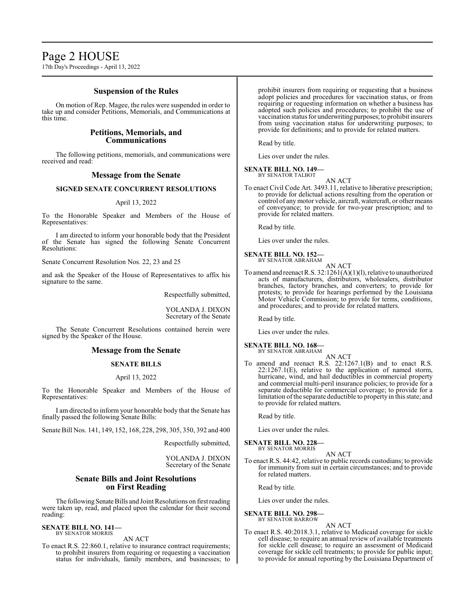# Page 2 HOUSE

17th Day's Proceedings - April 13, 2022

# **Suspension of the Rules**

On motion of Rep. Magee, the rules were suspended in order to take up and consider Petitions, Memorials, and Communications at this time.

# **Petitions, Memorials, and Communications**

The following petitions, memorials, and communications were received and read:

# **Message from the Senate**

### **SIGNED SENATE CONCURRENT RESOLUTIONS**

#### April 13, 2022

To the Honorable Speaker and Members of the House of Representatives:

I am directed to inform your honorable body that the President of the Senate has signed the following Senate Concurrent Resolutions:

Senate Concurrent Resolution Nos. 22, 23 and 25

and ask the Speaker of the House of Representatives to affix his signature to the same.

Respectfully submitted,

YOLANDA J. DIXON Secretary of the Senate

The Senate Concurrent Resolutions contained herein were signed by the Speaker of the House.

# **Message from the Senate**

### **SENATE BILLS**

#### April 13, 2022

To the Honorable Speaker and Members of the House of Representatives:

I am directed to inform your honorable body that the Senate has finally passed the following Senate Bills:

Senate Bill Nos. 141, 149, 152, 168, 228, 298, 305, 350, 392 and 400

Respectfully submitted,

YOLANDA J. DIXON Secretary of the Senate

# **Senate Bills and Joint Resolutions on First Reading**

The following Senate Bills and Joint Resolutions on first reading were taken up, read, and placed upon the calendar for their second reading:

**SENATE BILL NO. 141—** BY SENATOR MORRIS

AN ACT

To enact R.S. 22:860.1, relative to insurance contract requirements; to prohibit insurers from requiring or requesting a vaccination status for individuals, family members, and businesses; to

prohibit insurers from requiring or requesting that a business adopt policies and procedures for vaccination status, or from requiring or requesting information on whether a business has adopted such policies and procedures; to prohibit the use of vaccination status for underwriting purposes; to prohibit insurers from using vaccination status for underwriting purposes; to provide for definitions; and to provide for related matters.

Read by title.

Lies over under the rules.

#### **SENATE BILL NO. 149—** BY SENATOR TALBOT

AN ACT

To enact Civil Code Art. 3493.11, relative to liberative prescription; to provide for delictual actions resulting from the operation or control of anymotor vehicle, aircraft, watercraft, or other means of conveyance; to provide for two-year prescription; and to provide for related matters.

Read by title.

Lies over under the rules.

#### **SENATE BILL NO. 152—** BY SENATOR ABRAHAM

AN ACT

To amend and reenact R.S. 32:1261(A)(1)(l), relative to unauthorized acts of manufacturers, distributors, wholesalers, distributor branches, factory branches, and converters; to provide for protests; to provide for hearings performed by the Louisiana Motor Vehicle Commission; to provide for terms, conditions, and procedures; and to provide for related matters.

Read by title.

Lies over under the rules.

**SENATE BILL NO. 168—** BY SENATOR ABRAHAM

AN ACT To amend and reenact R.S. 22:1267.1(B) and to enact R.S. 22:1267.1(E), relative to the application of named storm, hurricane, wind, and hail deductibles in commercial property and commercial multi-peril insurance policies; to provide for a separate deductible for commercial coverage; to provide for a limitation ofthe separate deductible to property in this state; and to provide for related matters.

Read by title.

Lies over under the rules.

# **SENATE BILL NO. 228—**

BY SENATOR MORRIS AN ACT

To enact R.S. 44:42, relative to public records custodians; to provide for immunity from suit in certain circumstances; and to provide for related matters.

Read by title.

Lies over under the rules.

**SENATE BILL NO. 298—**

BY SENATOR BARROW AN ACT

To enact R.S. 40:2018.3.1, relative to Medicaid coverage for sickle cell disease; to require an annual review of available treatments for sickle cell disease; to require an assessment of Medicaid coverage for sickle cell treatments; to provide for public input; to provide for annual reporting by the Louisiana Department of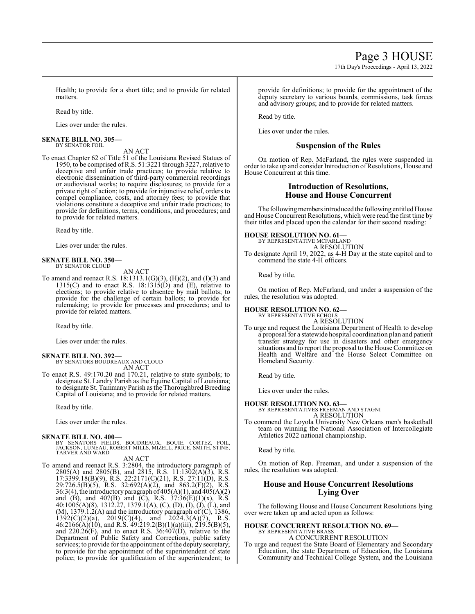17th Day's Proceedings - April 13, 2022

Health; to provide for a short title; and to provide for related matters.

Read by title.

Lies over under the rules.

#### **SENATE BILL NO. 305—** BY SENATOR FOIL

AN ACT

To enact Chapter 62 of Title 51 of the Louisiana Revised Statues of 1950, to be comprised ofR.S. 51:3221 through 3227, relative to deceptive and unfair trade practices; to provide relative to electronic dissemination of third-party commercial recordings or audiovisual works; to require disclosures; to provide for a private right of action; to provide for injunctive relief, orders to compel compliance, costs, and attorney fees; to provide that violations constitute a deceptive and unfair trade practices; to provide for definitions, terms, conditions, and procedures; and to provide for related matters.

Read by title.

Lies over under the rules.

#### **SENATE BILL NO. 350—** BY SENATOR CLOUD

AN ACT

To amend and reenact R.S. 18:1313.1(G)(3), (H)(2), and (I)(3) and  $1315(C)$  and to enact R.S.  $18:1315(D)$  and  $(E)$ , relative to elections; to provide relative to absentee by mail ballots; to provide for the challenge of certain ballots; to provide for rulemaking; to provide for processes and procedures; and to provide for related matters.

Read by title.

Lies over under the rules.

# **SENATE BILL NO. 392—**

BY SENATORS BOUDREAUX AND CLOUD AN ACT

To enact R.S. 49:170.20 and 170.21, relative to state symbols; to designate St. Landry Parish as the Equine Capital of Louisiana; to designate St. Tammany Parish as the Thoroughbred Breeding Capital of Louisiana; and to provide for related matters.

Read by title.

Lies over under the rules.

#### **SENATE BILL NO. 400—**

BY SENATORS FIELDS, BOUDREAUX, BOUIE, CORTEZ, FOIL,<br>JACKSON,LUNEAU,ROBERT MILLS,MIZELL,PRICE,SMITH,STINE,<br>TARVER AND WARD

AN ACT

To amend and reenact R.S. 3:2804, the introductory paragraph of 2805(A) and 2805(B), and 2815, R.S. 11:1302(A)(3), R.S. 17:3399.18(B)(9), R.S. 22:2171(C)(21), R.S. 27:11(D), R.S. 29:726.5(B)(5), R.S. 32:692(A)(2), and 863.2(F)(2), R.S. 36:3(4), the introductory paragraph of  $405(A)(1)$ , and  $405(A)(2)$ and (B), and  $407(B)$  and (C), R.S.  $37:36(E)(1)(x)$ , R.S. 40:1005(A)(8), 1312.27, 1379.1(A), (C), (D), (I), (J), (L), and  $(M)$ , 1379.1.2(A) and the introductory paragraph of  $(C)$ , 1386,  $1392(C)(2)(a)$ ,  $2019(C)(4)$ , and  $2024.3(A)(7)$ , R.S. 46:2166(A)(10), and R.S. 49:219.2(B)(1)(a)(iii), 219.5(B)(5), and 220.26(F), and to enact R.S. 36:407(D), relative to the Department of Public Safety and Corrections, public safety services; to provide for the appointment of the deputy secretary; to provide for the appointment of the superintendent of state police; to provide for qualification of the superintendent; to

provide for definitions; to provide for the appointment of the deputy secretary to various boards, commissions, task forces and advisory groups; and to provide for related matters.

Read by title.

Lies over under the rules.

# **Suspension of the Rules**

On motion of Rep. McFarland, the rules were suspended in order to take up and consider Introduction ofResolutions, House and House Concurrent at this time.

# **Introduction of Resolutions, House and House Concurrent**

The following members introduced the following entitled House and House Concurrent Resolutions, which were read the first time by their titles and placed upon the calendar for their second reading:

**HOUSE RESOLUTION NO. 61—**

BY REPRESENTATIVE MCFARLAND A RESOLUTION

To designate April 19, 2022, as 4-H Day at the state capitol and to commend the state 4-H officers.

Read by title.

On motion of Rep. McFarland, and under a suspension of the rules, the resolution was adopted.

#### **HOUSE RESOLUTION NO. 62—** BY REPRESENTATIVE ECHOLS

A RESOLUTION

To urge and request the Louisiana Department of Health to develop a proposal for a statewide hospital coordination plan and patient transfer strategy for use in disasters and other emergency situations and to report the proposal to the House Committee on Health and Welfare and the House Select Committee on Homeland Security.

Read by title.

Lies over under the rules.

# **HOUSE RESOLUTION NO. 63—** BY REPRESENTATIVES FREEMAN AND STAGNI A RESOLUTION

To commend the Loyola University New Orleans men's basketball team on winning the National Association of Intercollegiate Athletics 2022 national championship.

Read by title.

On motion of Rep. Freeman, and under a suspension of the rules, the resolution was adopted.

# **House and House Concurrent Resolutions Lying Over**

The following House and House Concurrent Resolutions lying over were taken up and acted upon as follows:

#### **HOUSE CONCURRENT RESOLUTION NO. 69—** BY REPRESENTATIVE BRASS

A CONCURRENT RESOLUTION

To urge and request the State Board of Elementary and Secondary Education, the state Department of Education, the Louisiana Community and Technical College System, and the Louisiana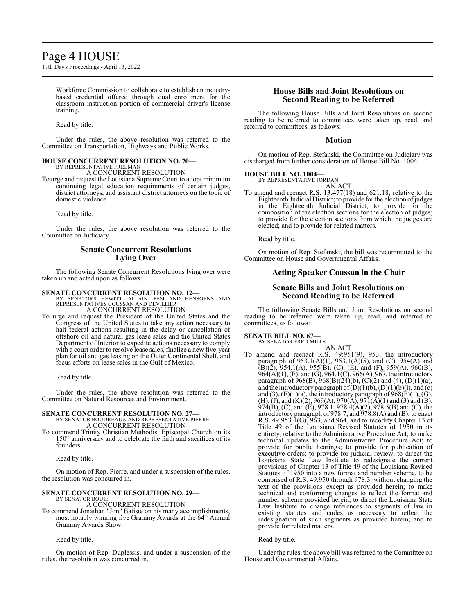# Page 4 HOUSE

17th Day's Proceedings - April 13, 2022

Workforce Commission to collaborate to establish an industrybased credential offered through dual enrollment for the classroom instruction portion of commercial driver's license training.

Read by title.

Under the rules, the above resolution was referred to the Committee on Transportation, Highways and Public Works.

#### **HOUSE CONCURRENT RESOLUTION NO. 70—** BY REPRESENTATIVE FREEMAN

A CONCURRENT RESOLUTION

To urge and request the Louisiana Supreme Court to adopt minimum continuing legal education requirements of certain judges, district attorneys, and assistant district attorneys on the topic of domestic violence.

Read by title.

Under the rules, the above resolution was referred to the Committee on Judiciary.

# **Senate Concurrent Resolutions Lying Over**

The following Senate Concurrent Resolutions lying over were taken up and acted upon as follows:

**SENATE CONCURRENT RESOLUTION NO. 12—**<br>BY SENATORS HEWITT, ALLAIN, FESI AND HENSGENS AND<br>REPRESENTATIVES COUSSAN AND DEVILLIER

A CONCURRENT RESOLUTION

To urge and request the President of the United States and the Congress of the United States to take any action necessary to halt federal actions resulting in the delay or cancellation of offshore oil and natural gas lease sales and the United States Department of Interior to expedite actions necessary to comply with a court order to resolve lease sales, finalize a new five-year plan for oil and gas leasing on the Outer Continental Shelf, and focus efforts on lease sales in the Gulf of Mexico.

Read by title.

Under the rules, the above resolution was referred to the Committee on Natural Resources and Environment.

# **SENATE CONCURRENT RESOLUTION NO. 27—** BY SENATOR BOUDREAUX AND REPRESENTATIVE PIERRE

A CONCURRENT RESOLUTION

To commend Trinity Christian Methodist Episcopal Church on its 150<sup>th</sup> anniversary and to celebrate the faith and sacrifices of its founders.

Read by title.

On motion of Rep. Pierre, and under a suspension of the rules, the resolution was concurred in.

#### **SENATE CONCURRENT RESOLUTION NO. 29—** BY SENATOR BOUIE

A CONCURRENT RESOLUTION

To commend Jonathan "Jon" Batiste on his many accomplishments, most notably winning five Grammy Awards at the  $64^{\text{th}}$  Annual Grammy Awards Show.

Read by title.

On motion of Rep. Duplessis, and under a suspension of the rules, the resolution was concurred in.

# **House Bills and Joint Resolutions on Second Reading to be Referred**

The following House Bills and Joint Resolutions on second reading to be referred to committees were taken up, read, and referred to committees, as follows:

# **Motion**

On motion of Rep. Stefanski, the Committee on Judiciary was discharged from further consideration of House Bill No. 1004.

# **HOUSE BILL NO. 1004—** BY REPRESENTATIVE JORDAN

AN ACT

To amend and reenact R.S. 13:477(18) and 621.18, relative to the Eighteenth Judicial District; to provide for the election ofjudges in the Eighteenth Judicial District; to provide for the composition of the election sections for the election of judges; to provide for the election sections from which the judges are elected; and to provide for related matters.

Read by title.

On motion of Rep. Stefanski, the bill was recommitted to the Committee on House and Governmental Affairs.

# **Acting Speaker Coussan in the Chair**

# **Senate Bills and Joint Resolutions on Second Reading to be Referred**

The following Senate Bills and Joint Resolutions on second reading to be referred were taken up, read, and referred to committees, as follows:

# **SENATE BILL NO. 67—**

BY SENATOR FRED MILLS

AN ACT To amend and reenact R.S. 49:951(9), 953, the introductory paragraph of  $953.1(A)(1)$ ,  $953.1(A)(5)$ , and (C),  $954(A)$  and  $(B)(\overline{2})$ , 954.1(A), 955(B), (C), (E), and (F), 959(A), 960(B), 964(A)(1), (F), and (G), 964.1(C), 966(A), 967, the introductory paragraph of 968(B), 968(B)(24)(b), (C)(2) and (4), (D)(1)(a), and the introductory paragraph of  $(D)(1)(b)$ ,  $(D)(1)(b)(i)$ , and  $(c)$ and (3),  $(E)(1)(a)$ , the introductory paragraph of  $968(F)(1)$ ,  $(G)$ , (H), (J), and (K)(2), 969(A), 970(A), 971(A)(1) and (3) and (B), 974(B), (C), and (E), 978.1, 978.4(A)(2), 978.5(B) and (C), the introductory paragraph of 978.7, and 978.8(A) and (B), to enact R.S. 49:953.1(G), 963, and 964, and to recodify Chapter 13 of Title 49 of the Louisiana Revised Statutes of 1950 in its entirety, relative to the Administrative Procedure Act; to make technical updates to the Administrative Procedure Act; to provide for public hearings; to provide for publication of executive orders; to provide for judicial review; to direct the Louisiana State Law Institute to redesignate the current provisions of Chapter 13 of Title 49 of the Louisiana Revised Statutes of 1950 into a new format and number scheme, to be comprised of R.S. 49:950 through 978.3, without changing the text of the provisions except as provided herein; to make technical and conforming changes to reflect the format and number scheme provided herein; to direct the Louisiana State Law Institute to change references to segments of law in existing statutes and codes as necessary to reflect the redesignation of such segments as provided herein; and to provide for related matters.

# Read by title.

Under the rules, the above bill was referred to the Committee on House and Governmental Affairs.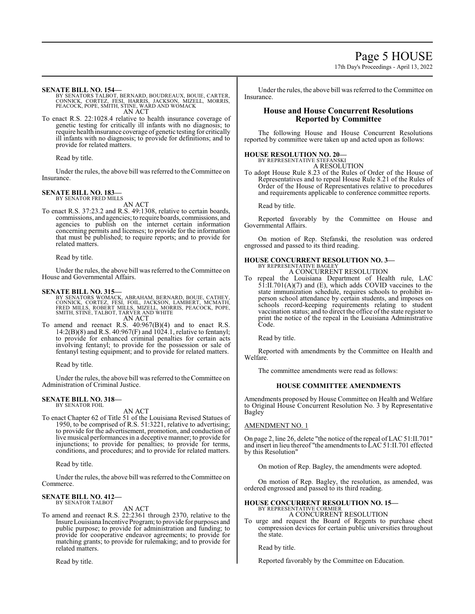Page 5 HOUSE 17th Day's Proceedings - April 13, 2022

**SENATE BILL NO. 154—**

- BY SENATORS TALBOT, BERNARD, BOUDREAUX, BOUIE, CARTER,<br>CONNICK, CORTEZ, FESI, HARRIS, JACKSON, MIZELL, MORRIS,<br>PEACOCK, POPE, SMITH, STINE, WARD AND WOMACK AN ACT
- To enact R.S. 22:1028.4 relative to health insurance coverage of genetic testing for critically ill infants with no diagnosis; to require health insurance coverage of genetic testing for critically ill infants with no diagnosis; to provide for definitions; and to provide for related matters.

Read by title.

Under the rules, the above bill was referred to theCommittee on Insurance.

# **SENATE BILL NO. 183—** BY SENATOR FRED MILLS

AN ACT

To enact R.S. 37:23.2 and R.S. 49:1308, relative to certain boards, commissions, and agencies; to require boards, commissions, and agencies to publish on the internet certain information concerning permits and licenses; to provide for the information that must be published; to require reports; and to provide for related matters.

Read by title.

Under the rules, the above bill was referred to the Committee on House and Governmental Affairs.

#### **SENATE BILL NO. 315—**

- BY SENATORS WOMACK, ABRAHAM, BERNARD, BOUIE, CATHEY,<br>CONNICK, CORTEZ, FESI, FOIL, JACKSON, LAMBERT, MCMATH,<br>FRED MILLS, ROBERT MILLS, MIZELL, MORRIS, PEACOCK, POPE,<br>SMITH, STINE, TALBOT, TARVER AND WHITE AN ACT
- To amend and reenact R.S. 40:967(B)(4) and to enact R.S. 14:2(B)(8) and R.S. 40:967(F) and 1024.1, relative to fentanyl; to provide for enhanced criminal penalties for certain acts involving fentanyl; to provide for the possession or sale of fentanyl testing equipment; and to provide for related matters.

Read by title.

Under the rules, the above bill was referred to the Committee on Administration of Criminal Justice.

#### **SENATE BILL NO. 318—** BY SENATOR FOIL

AN ACT

To enact Chapter 62 of Title 51 of the Louisiana Revised Statues of 1950, to be comprised of R.S. 51:3221, relative to advertising; to provide for the advertisement, promotion, and conduction of live musical performances in a deceptive manner; to provide for injunctions; to provide for penalties; to provide for terms, conditions, and procedures; and to provide for related matters.

Read by title.

Under the rules, the above bill was referred to the Committee on Commerce.

#### **SENATE BILL NO. 412—** BY SENATOR TALBOT

AN ACT

To amend and reenact R.S. 22:2361 through 2370, relative to the InsureLouisiana IncentiveProgram; to provide for purposes and public purpose; to provide for administration and funding; to provide for cooperative endeavor agreements; to provide for matching grants; to provide for rulemaking; and to provide for related matters.

Read by title.

Under the rules, the above bill was referred to the Committee on Insurance.

# **House and House Concurrent Resolutions Reported by Committee**

The following House and House Concurrent Resolutions reported by committee were taken up and acted upon as follows:

# **HOUSE RESOLUTION NO. 20—**

BY REPRESENTATIVE STEFANSKI

A RESOLUTION

To adopt House Rule 8.23 of the Rules of Order of the House of Representatives and to repeal House Rule 8.21 of the Rules of Order of the House of Representatives relative to procedures and requirements applicable to conference committee reports.

Read by title.

Reported favorably by the Committee on House and Governmental Affairs.

On motion of Rep. Stefanski, the resolution was ordered engrossed and passed to its third reading.

# **HOUSE CONCURRENT RESOLUTION NO. 3—** BY REPRESENTATIVE BAGLEY

- A CONCURRENT RESOLUTION
- To repeal the Louisiana Department of Health rule, LAC 51:II.701(A)(7) and (E), which adds COVID vaccines to the state immunization schedule, requires schools to prohibit inperson school attendance by certain students, and imposes on schools record-keeping requirements relating to student vaccination status; and to direct the office of the state register to print the notice of the repeal in the Louisiana Administrative Code.

Read by title.

Reported with amendments by the Committee on Health and Welfare.

The committee amendments were read as follows:

#### **HOUSE COMMITTEE AMENDMENTS**

Amendments proposed by House Committee on Health and Welfare to Original House Concurrent Resolution No. 3 by Representative Bagley

#### AMENDMENT NO. 1

On page 2, line 26, delete "the notice of the repeal of LAC 51:II.701" and insert in lieu thereof "the amendments to LAC 51:II.701 effected by this Resolution"

On motion of Rep. Bagley, the amendments were adopted.

On motion of Rep. Bagley, the resolution, as amended, was ordered engrossed and passed to its third reading.

#### **HOUSE CONCURRENT RESOLUTION NO. 15—**

BY REPRESENTATIVE CORMIER A CONCURRENT RESOLUTION

To urge and request the Board of Regents to purchase chest compression devices for certain public universities throughout the state.

Read by title.

Reported favorably by the Committee on Education.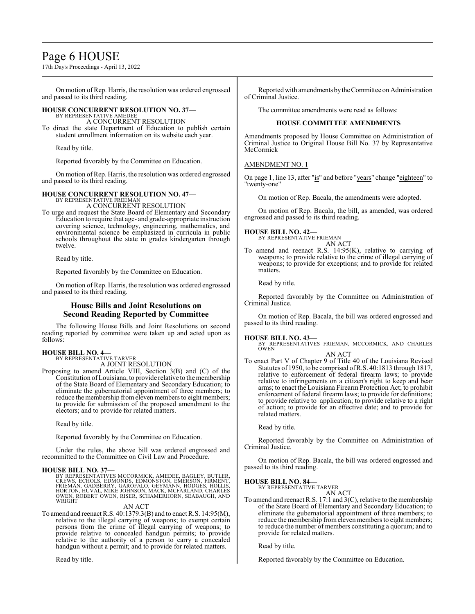# Page 6 HOUSE

17th Day's Proceedings - April 13, 2022

On motion of Rep. Harris, the resolution was ordered engrossed and passed to its third reading.

# **HOUSE CONCURRENT RESOLUTION NO. 37—**

BY REPRESENTATIVE AMEDEE A CONCURRENT RESOLUTION

To direct the state Department of Education to publish certain student enrollment information on its website each year.

Read by title.

Reported favorably by the Committee on Education.

On motion of Rep. Harris, the resolution was ordered engrossed and passed to its third reading.

# **HOUSE CONCURRENT RESOLUTION NO. 47—**

BY REPRESENTATIVE FREEMAN A CONCURRENT RESOLUTION

To urge and request the State Board of Elementary and Secondary Education to require that age- and grade-appropriate instruction covering science, technology, engineering, mathematics, and environmental science be emphasized in curricula in public schools throughout the state in grades kindergarten through twelve.

Read by title.

Reported favorably by the Committee on Education.

On motion of Rep. Harris, the resolution was ordered engrossed and passed to its third reading.

# **House Bills and Joint Resolutions on Second Reading Reported by Committee**

The following House Bills and Joint Resolutions on second reading reported by committee were taken up and acted upon as follows:

# **HOUSE BILL NO. 4—**

BY REPRESENTATIVE TARVER A JOINT RESOLUTION

Proposing to amend Article VIII, Section 3(B) and (C) of the Constitution ofLouisiana, to provide relative to the membership of the State Board of Elementary and Secondary Education; to eliminate the gubernatorial appointment of three members; to reduce the membership fromeleven members to eight members; to provide for submission of the proposed amendment to the electors; and to provide for related matters.

Read by title.

Reported favorably by the Committee on Education.

Under the rules, the above bill was ordered engrossed and recommitted to the Committee on Civil Law and Procedure.

#### **HOUSE BILL NO. 37—**

BY REPRESENTATIVES MCCORMICK, AMEDEE, BAGLEY, BUTLER,<br>CREWS, ECHOLS, EDMONDS, EDMONSTON, EMERSON, FIRMENT,<br>FRIEMAN, GADBERRY, GAROFALO, GEYMANN, HODGES, HOLLIS,<br>HORTON, HUVAL, MIKE JOHNSON, MACK, MCFARLAND, CHARLES<br>OWEN, R WRIGHT

#### AN ACT

To amend and reenact R.S. 40:1379.3(B) and to enact R.S. 14:95(M), relative to the illegal carrying of weapons; to exempt certain persons from the crime of illegal carrying of weapons; to provide relative to concealed handgun permits; to provide relative to the authority of a person to carry a concealed handgun without a permit; and to provide for related matters.

Read by title.

Reported with amendments by the Committee on Administration of Criminal Justice.

The committee amendments were read as follows:

### **HOUSE COMMITTEE AMENDMENTS**

Amendments proposed by House Committee on Administration of Criminal Justice to Original House Bill No. 37 by Representative McCormick

### AMENDMENT NO. 1

On page 1, line 13, after "is" and before "years" change "eighteen" to "twenty-one"

On motion of Rep. Bacala, the amendments were adopted.

On motion of Rep. Bacala, the bill, as amended, was ordered engrossed and passed to its third reading.

#### **HOUSE BILL NO. 42—**

BY REPRESENTATIVE FRIEMAN AN ACT

To amend and reenact R.S. 14:95(K), relative to carrying of weapons; to provide relative to the crime of illegal carrying of weapons; to provide for exceptions; and to provide for related matters.

Read by title.

Reported favorably by the Committee on Administration of Criminal Justice.

On motion of Rep. Bacala, the bill was ordered engrossed and passed to its third reading.

#### **HOUSE BILL NO. 43—**

BY REPRESENTATIVES FRIEMAN, MCCORMICK, AND CHARLES OWEN AN ACT

To enact Part V of Chapter 9 of Title 40 of the Louisiana Revised Statutes of 1950, to be comprised ofR.S. 40:1813 through 1817, relative to enforcement of federal firearm laws; to provide relative to infringements on a citizen's right to keep and bear arms; to enact the Louisiana Firearm Protection Act; to prohibit enforcement of federal firearm laws; to provide for definitions; to provide relative to application; to provide relative to a right of action; to provide for an effective date; and to provide for related matters.

Read by title.

Reported favorably by the Committee on Administration of Criminal Justice.

On motion of Rep. Bacala, the bill was ordered engrossed and passed to its third reading.

# **HOUSE BILL NO. 84—**

BY REPRESENTATIVE TARVER AN ACT

To amend and reenact R.S. 17:1 and 3(C), relative to the membership of the State Board of Elementary and Secondary Education; to eliminate the gubernatorial appointment of three members; to reduce the membership fromeleven members to eight members; to reduce the number of members constituting a quorum; and to provide for related matters.

Read by title.

Reported favorably by the Committee on Education.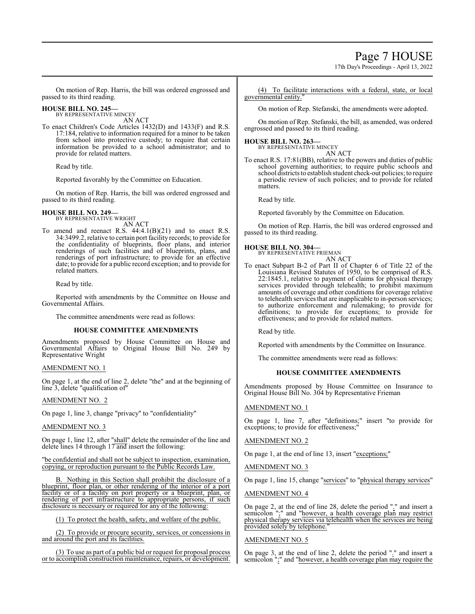17th Day's Proceedings - April 13, 2022

On motion of Rep. Harris, the bill was ordered engrossed and passed to its third reading.

#### **HOUSE BILL NO. 245—** BY REPRESENTATIVE MINCEY

AN ACT

To enact Children's Code Articles 1432(D) and 1433(F) and R.S. 17:184, relative to information required for a minor to be taken from school into protective custody; to require that certain information be provided to a school administrator; and to provide for related matters.

Read by title.

Reported favorably by the Committee on Education.

On motion of Rep. Harris, the bill was ordered engrossed and passed to its third reading.

# **HOUSE BILL NO. 249—**

BY REPRESENTATIVE WRIGHT AN ACT

To amend and reenact R.S. 44:4.1(B)(21) and to enact R.S. 34:3499.2, relative to certain port facility records; to provide for the confidentiality of blueprints, floor plans, and interior renderings of such facilities and of blueprints, plans, and renderings of port infrastructure; to provide for an effective date; to provide for a public record exception; and to provide for related matters.

Read by title.

Reported with amendments by the Committee on House and Governmental Affairs.

The committee amendments were read as follows:

# **HOUSE COMMITTEE AMENDMENTS**

Amendments proposed by House Committee on House and Governmental Affairs to Original House Bill No. 249 by Representative Wright

# AMENDMENT NO. 1

On page 1, at the end of line 2, delete "the" and at the beginning of line 3, delete "qualification of"

# AMENDMENT NO. 2

On page 1, line 3, change "privacy" to "confidentiality"

# AMENDMENT NO. 3

On page 1, line 12, after "shall" delete the remainder of the line and delete lines 14 through 17 and insert the following:

"be confidential and shall not be subject to inspection, examination, copying, or reproduction pursuant to the Public Records Law.

B. Nothing in this Section shall prohibit the disclosure of a blueprint, floor plan, or other rendering of the interior of a port facility or of a facility on port property or a blueprint, plan, or rendering of port infrastructure to appropriate persons, if such disclosure is necessary or required for any of the following:

(1) To protect the health, safety, and welfare of the public.

(2) To provide or procure security, services, or concessions in and around the port and its facilities.

(3) To use as part of a public bid or request for proposal process or to accomplish construction maintenance, repairs, or development.

(4) To facilitate interactions with a federal, state, or local governmental entity.

On motion of Rep. Stefanski, the amendments were adopted.

On motion of Rep. Stefanski, the bill, as amended, was ordered engrossed and passed to its third reading.

**HOUSE BILL NO. 263—** BY REPRESENTATIVE MINCEY

AN ACT

To enact R.S. 17:81(BB), relative to the powers and duties of public school governing authorities; to require public schools and school districts to establish student check-out policies; to require a periodic review of such policies; and to provide for related matters.

Read by title.

Reported favorably by the Committee on Education.

On motion of Rep. Harris, the bill was ordered engrossed and passed to its third reading.

# **HOUSE BILL NO. 304—**



To enact Subpart B-2 of Part II of Chapter 6 of Title 22 of the Louisiana Revised Statutes of 1950, to be comprised of R.S. 22:1845.1, relative to payment of claims for physical therapy services provided through telehealth; to prohibit maximum amounts of coverage and other conditions for coverage relative to telehealth services that are inapplicable to in-person services; to authorize enforcement and rulemaking; to provide for definitions; to provide for exceptions; to provide for effectiveness; and to provide for related matters.

Read by title.

Reported with amendments by the Committee on Insurance.

The committee amendments were read as follows:

# **HOUSE COMMITTEE AMENDMENTS**

Amendments proposed by House Committee on Insurance to Original House Bill No. 304 by Representative Frieman

# AMENDMENT NO. 1

On page 1, line 7, after "definitions;" insert "to provide for exceptions; to provide for effectiveness;

# AMENDMENT NO. 2

On page 1, at the end of line 13, insert "exceptions;"

AMENDMENT NO. 3

On page 1, line 15, change "services" to "physical therapy services"

#### AMENDMENT NO. 4

On page 2, at the end of line 28, delete the period "." and insert a semicolon ";" and "however, a health coverage plan may restrict physical therapy services via telehealth when the services are being provided solely by telephone."

# AMENDMENT NO. 5

On page 3, at the end of line 2, delete the period "." and insert a semicolon ";" and "however, a health coverage plan may require the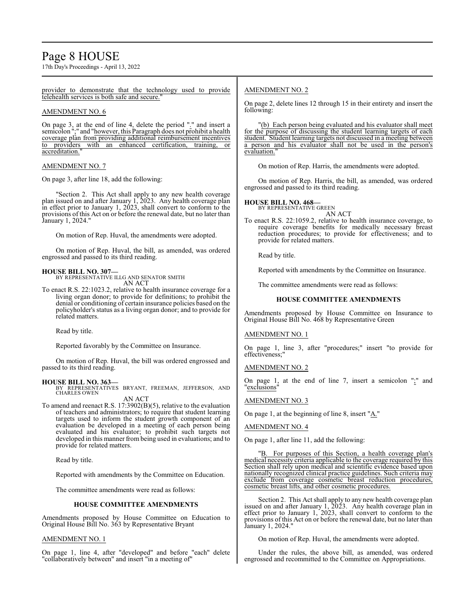# Page 8 HOUSE

17th Day's Proceedings - April 13, 2022

provider to demonstrate that the technology used to provide telehealth services is both safe and secure."

# AMENDMENT NO. 6

On page 3, at the end of line 4, delete the period "." and insert a semicolon ";" and "however, this Paragraph does not prohibit a health coverage plan from providing additional reimbursement incentives<br>to providers with an enhanced certification, training, or to providers with an enhanced certification, accreditation.

# AMENDMENT NO. 7

On page 3, after line 18, add the following:

"Section 2. This Act shall apply to any new health coverage plan issued on and after January 1, 2023. Any health coverage plan in effect prior to January 1, 2023, shall convert to conform to the provisions of this Act on or before the renewal date, but no later than January 1, 2024."

On motion of Rep. Huval, the amendments were adopted.

On motion of Rep. Huval, the bill, as amended, was ordered engrossed and passed to its third reading.

# **HOUSE BILL NO. 307—**

BY REPRESENTATIVE ILLG AND SENATOR SMITH AN ACT

To enact R.S. 22:1023.2, relative to health insurance coverage for a living organ donor; to provide for definitions; to prohibit the denial or conditioning of certain insurance policies based on the policyholder's status as a living organ donor; and to provide for related matters.

Read by title.

Reported favorably by the Committee on Insurance.

On motion of Rep. Huval, the bill was ordered engrossed and passed to its third reading.

# **HOUSE BILL NO. 363—**

BY REPRESENTATIVES BRYANT, FREEMAN, JEFFERSON, AND CHARLES OWEN

AN ACT

To amend and reenact R.S. 17:3902(B)(5), relative to the evaluation of teachers and administrators; to require that student learning targets used to inform the student growth component of an evaluation be developed in a meeting of each person being evaluated and his evaluator; to prohibit such targets not developed in this manner from being used in evaluations; and to provide for related matters.

Read by title.

Reported with amendments by the Committee on Education.

The committee amendments were read as follows:

# **HOUSE COMMITTEE AMENDMENTS**

Amendments proposed by House Committee on Education to Original House Bill No. 363 by Representative Bryant

# AMENDMENT NO. 1

On page 1, line 4, after "developed" and before "each" delete "collaboratively between" and insert "in a meeting of"

# AMENDMENT NO. 2

On page 2, delete lines 12 through 15 in their entirety and insert the following:

"(b) Each person being evaluated and his evaluator shall meet for the purpose of discussing the student learning targets of each student. Student learning targets not discussed in a meeting between a person and his evaluator shall not be used in the person's evaluation.

On motion of Rep. Harris, the amendments were adopted.

On motion of Rep. Harris, the bill, as amended, was ordered engrossed and passed to its third reading.

### **HOUSE BILL NO. 468—**

BY REPRESENTATIVE GREEN AN ACT

To enact R.S. 22:1059.2, relative to health insurance coverage, to require coverage benefits for medically necessary breast reduction procedures; to provide for effectiveness; and to provide for related matters.

Read by title.

Reported with amendments by the Committee on Insurance.

The committee amendments were read as follows:

# **HOUSE COMMITTEE AMENDMENTS**

Amendments proposed by House Committee on Insurance to Original House Bill No. 468 by Representative Green

# AMENDMENT NO. 1

On page 1, line 3, after "procedures;" insert "to provide for effectiveness;"

AMENDMENT NO. 2

On page 1, at the end of line 7, insert a semicolon ";" and "<u>exclusions</u>"

# AMENDMENT NO. 3

On page 1, at the beginning of line 8, insert " $A$ ."

## AMENDMENT NO. 4

On page 1, after line 11, add the following:

For purposes of this Section, a health coverage plan's medical necessity criteria applicable to the coverage required by this Section shall rely upon medical and scientific evidence based upon nationally recognized clinical practice guidelines. Such criteria may exclude from coverage cosmetic breast reduction procedures, cosmetic breast lifts, and other cosmetic procedures.

Section 2. This Act shall apply to any new health coverage plan issued on and after January 1, 2023. Any health coverage plan in effect prior to January 1, 2023, shall convert to conform to the provisions of this Act on or before the renewal date, but no later than January 1, 2024."

On motion of Rep. Huval, the amendments were adopted.

Under the rules, the above bill, as amended, was ordered engrossed and recommitted to the Committee on Appropriations.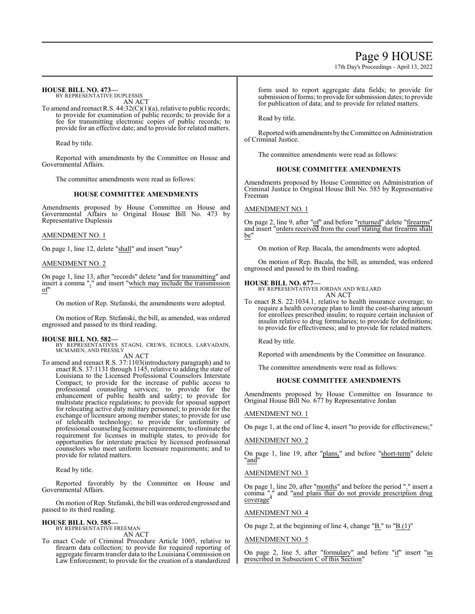# Page 9 HOUSE

17th Day's Proceedings - April 13, 2022

# **HOUSE BILL NO. 473—**

BY REPRESENTATIVE DUPLESSIS AN ACT

To amend and reenact R.S. 44:32(C)(1)(a), relative to public records; to provide for examination of public records; to provide for a fee for transmitting electronic copies of public records; to provide for an effective date; and to provide for related matters.

Read by title.

Reported with amendments by the Committee on House and Governmental Affairs.

The committee amendments were read as follows:

#### **HOUSE COMMITTEE AMENDMENTS**

Amendments proposed by House Committee on House and Governmental Affairs to Original House Bill No. 473 by Representative Duplessis

### AMENDMENT NO. 1

On page 1, line 12, delete "shall" and insert "may"

## AMENDMENT NO. 2

On page 1, line 13, after "records" delete "and for transmitting" and insert a comma "," and insert "which may include the transmission  $\underline{of}$ "

On motion of Rep. Stefanski, the amendments were adopted.

On motion of Rep. Stefanski, the bill, as amended, was ordered engrossed and passed to its third reading.

**HOUSE BILL NO. 582—** BY REPRESENTATIVES STAGNI, CREWS, ECHOLS, LARVADAIN, MCMAHEN, AND PRESSLY

### AN ACT

To amend and reenact R.S. 37:1103(introductory paragraph) and to enact R.S. 37:1131 through 1145, relative to adding the state of Louisiana to the Licensed Professional Counselors Interstate Compact; to provide for the increase of public access to professional counseling services; to provide for the enhancement of public health and safety; to provide for multistate practice regulations; to provide for spousal support for relocating active duty military personnel; to provide for the exchange of licensure among member states; to provide for use of telehealth technology; to provide for uniformity of professional counseling licensure requirements; to eliminate the requirement for licenses in multiple states, to provide for opportunities for interstate practice by licensed professional counselors who meet uniform licensure requirements; and to provide for related matters.

Read by title.

Reported favorably by the Committee on House and Governmental Affairs.

On motion ofRep. Stefanski, the bill was ordered engrossed and passed to its third reading.

#### **HOUSE BILL NO. 585—** BY REPRESENTATIVE FREEMAN

AN ACT

To enact Code of Criminal Procedure Article 1005, relative to firearm data collection; to provide for required reporting of aggregate firearm transfer data to the Louisiana Commission on Law Enforcement; to provide for the creation of a standardized

form used to report aggregate data fields; to provide for submission of forms; to provide for submission dates; to provide for publication of data; and to provide for related matters.

Read by title.

Reported with amendments by the Committee on Administration of Criminal Justice.

The committee amendments were read as follows:

### **HOUSE COMMITTEE AMENDMENTS**

Amendments proposed by House Committee on Administration of Criminal Justice to Original House Bill No. 585 by Representative Freeman

### AMENDMENT NO. 1

On page 2, line 9, after "of" and before "returned" delete "firearms" and insert "orders received from the court stating that firearms shall be"

On motion of Rep. Bacala, the amendments were adopted.

On motion of Rep. Bacala, the bill, as amended, was ordered engrossed and passed to its third reading.

**HOUSE BILL NO. 677—** BY REPRESENTATIVES JORDAN AND WILLARD AN ACT

To enact R.S. 22:1034.1, relative to health insurance coverage; to require a health coverage plan to limit the cost-sharing amount for enrollees prescribed insulin; to require certain inclusion of insulin relative to drug formularies; to provide for definitions; to provide for effectiveness; and to provide for related matters.

Read by title.

Reported with amendments by the Committee on Insurance.

The committee amendments were read as follows:

# **HOUSE COMMITTEE AMENDMENTS**

Amendments proposed by House Committee on Insurance to Original House Bill No. 677 by Representative Jordan

# AMENDMENT NO. 1

On page 1, at the end of line 4, insert "to provide for effectiveness;"

# AMENDMENT NO. 2

On page 1, line 19, after "plans," and before "short-term" delete "and"

#### AMENDMENT NO. 3

On page 1, line 20, after "months" and before the period "." insert a comma "," and "and plans that do not provide prescription drug coverage"

#### AMENDMENT NO. 4

On page 2, at the beginning of line 4, change "B." to "B.(1)"

# AMENDMENT NO. 5

On page 2, line 5, after "formulary" and before "if" insert "as prescribed in Subsection C of this Section"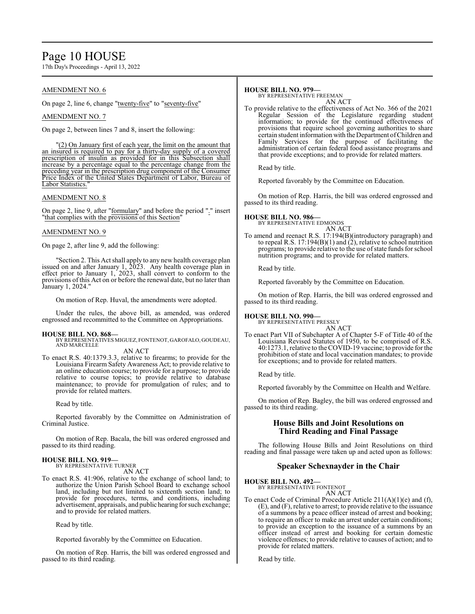# Page 10 HOUSE

17th Day's Proceedings - April 13, 2022

# AMENDMENT NO. 6

On page 2, line 6, change "twenty-five" to "seventy-five"

# AMENDMENT NO. 7

On page 2, between lines 7 and 8, insert the following:

"(2) On January first of each year, the limit on the amount that an insured is required to pay for a thirty-day supply of a covered prescription of insulin as provided for in this Subsection shall increase by a percentage equal to the percentage change from the preceding year in the prescription drug component of the Consumer Price Index of the United States Department of Labor, Bureau of Labor Statistics."

### AMENDMENT NO. 8

On page 2, line 9, after "formulary" and before the period "." insert "that complies with the provisions of this Section"

#### AMENDMENT NO. 9

On page 2, after line 9, add the following:

"Section 2. This Act shall apply to any new health coverage plan issued on and after January 1, 2023. Any health coverage plan in effect prior to January 1, 2023, shall convert to conform to the provisions of this Act on or before the renewal date, but no later than January 1, 2024."

On motion of Rep. Huval, the amendments were adopted.

Under the rules, the above bill, as amended, was ordered engrossed and recommitted to the Committee on Appropriations.

# **HOUSE BILL NO. 868—**

BY REPRESENTATIVES MIGUEZ, FONTENOT, GAROFALO, GOUDEAU, AND MARCELLE AN ACT

To enact R.S. 40:1379.3.3, relative to firearms; to provide for the Louisiana Firearm Safety Awareness Act; to provide relative to an online education course; to provide for a purpose; to provide relative to course topics; to provide relative to database maintenance; to provide for promulgation of rules; and to provide for related matters.

Read by title.

Reported favorably by the Committee on Administration of Criminal Justice.

On motion of Rep. Bacala, the bill was ordered engrossed and passed to its third reading.

# **HOUSE BILL NO. 919—** BY REPRESENTATIVE TURNER

AN ACT

To enact R.S. 41:906, relative to the exchange of school land; to authorize the Union Parish School Board to exchange school land, including but not limited to sixteenth section land; to provide for procedures, terms, and conditions, including advertisement, appraisals, and public hearing for such exchange; and to provide for related matters.

Read by title.

Reported favorably by the Committee on Education.

On motion of Rep. Harris, the bill was ordered engrossed and passed to its third reading.

# **HOUSE BILL NO. 979—**

BY REPRESENTATIVE FREEMAN AN ACT

To provide relative to the effectiveness of Act No. 366 of the 2021 Regular Session of the Legislature regarding student information; to provide for the continued effectiveness of provisions that require school governing authorities to share certain student information with the Department ofChildren and Family Services for the purpose of facilitating the administration of certain federal food assistance programs and that provide exceptions; and to provide for related matters.

Read by title.

Reported favorably by the Committee on Education.

On motion of Rep. Harris, the bill was ordered engrossed and passed to its third reading.

# **HOUSE BILL NO. 986—**

BY REPRESENTATIVE EDMONDS AN ACT

To amend and reenact R.S. 17:194(B)(introductory paragraph) and to repeal R.S. 17:194(B)(1) and (2), relative to school nutrition programs; to provide relative to the use of state funds for school nutrition programs; and to provide for related matters.

Read by title.

Reported favorably by the Committee on Education.

On motion of Rep. Harris, the bill was ordered engrossed and passed to its third reading.

# **HOUSE BILL NO. 990—** BY REPRESENTATIVE PRESSLY

AN ACT

To enact Part VII of Subchapter A of Chapter 5-F of Title 40 of the Louisiana Revised Statutes of 1950, to be comprised of R.S. 40:1273.1, relative to the COVID-19 vaccine; to provide for the prohibition of state and local vaccination mandates; to provide for exceptions; and to provide for related matters.

Read by title.

Reported favorably by the Committee on Health and Welfare.

On motion of Rep. Bagley, the bill was ordered engrossed and passed to its third reading.

# **House Bills and Joint Resolutions on Third Reading and Final Passage**

The following House Bills and Joint Resolutions on third reading and final passage were taken up and acted upon as follows:

# **Speaker Schexnayder in the Chair**

# **HOUSE BILL NO. 492—**

BY REPRESENTATIVE FONTENOT AN ACT

To enact Code of Criminal Procedure Article 211(A)(1)(e) and (f), (E), and (F), relative to arrest; to provide relative to the issuance of a summons by a peace officer instead of arrest and booking; to require an officer to make an arrest under certain conditions; to provide an exception to the issuance of a summons by an officer instead of arrest and booking for certain domestic violence offenses; to provide relative to causes of action; and to provide for related matters.

Read by title.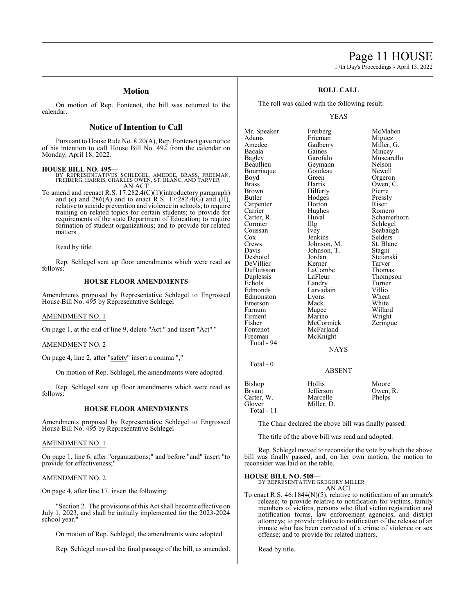# Page 11 HOUSE

17th Day's Proceedings - April 13, 2022

# **Motion**

On motion of Rep. Fontenot, the bill was returned to the calendar.

# **Notice of Intention to Call**

Pursuant to House Rule No. 8.20(A), Rep. Fontenot gave notice of his intention to call House Bill No. 492 from the calendar on Monday, April 18, 2022.

# **HOUSE BILL NO. 495—**

BY REPRESENTATIVES SCHLEGEL, AMEDEE, BRASS, FREEMAN, FREIBERG, HARRIS, CHARLES OWEN, ST. BLANC, AND TARVER AN ACT

To amend and reenact R.S. 17:282.4(C)(1)(introductory paragraph) and (c) and  $286(A)$  and to enact R.S. 17:282.4( $\overrightarrow{G}$ ) and  $\overrightarrow{H}$ ), relative to suicide prevention and violence in schools; to require training on related topics for certain students; to provide for requirements of the state Department of Education; to require formation of student organizations; and to provide for related matters.

Read by title.

Rep. Schlegel sent up floor amendments which were read as follows:

#### **HOUSE FLOOR AMENDMENTS**

Amendments proposed by Representative Schlegel to Engrossed House Bill No. 495 by Representative Schlegel

#### AMENDMENT NO. 1

On page 1, at the end of line 9, delete "Act." and insert "Act"."

# AMENDMENT NO. 2

On page 4, line 2, after "safety" insert a comma ","

On motion of Rep. Schlegel, the amendments were adopted.

Rep. Schlegel sent up floor amendments which were read as follows:

#### **HOUSE FLOOR AMENDMENTS**

Amendments proposed by Representative Schlegel to Engrossed House Bill No. 495 by Representative Schlegel

#### AMENDMENT NO. 1

On page 1, line 6, after "organizations;" and before "and" insert "to provide for effectiveness;"

# AMENDMENT NO. 2

On page 4, after line 17, insert the following:

Section 2. The provisions of this Act shall become effective on July 1, 2023, and shall be initially implemented for the 2023-2024 school year.

On motion of Rep. Schlegel, the amendments were adopted.

Rep. Schlegel moved the final passage of the bill, as amended.

# **ROLL CALL**

The roll was called with the following result:

#### YEAS

Mr. Speaker Freiberg McMahen<br>Adams Frieman Miguez Adams Frieman<br>Amedee Gadberry Amedee Gadberry Miller, G.<br>Bacala Gaines Mincey Bacala Gaines Mincey<br>Bagley Garofalo Muscar Bagley Garofalo Muscarello Bourriaque Goude<br>Boyd Green Boyd Green Orgeron<br>Brass Harris Owen, C Brass Harris Owen, C.<br>Brown Hilferty Pierre Brown Hilferty Pierre<br>Butler Hodges Pressly Carpenter Horton Riser<br>
Carrier Hughes Romero Carrier Hughes<br>Carter R. Huyal Carter, R. Huval Schamerhorn<br>
Cormier IIIg Schlegel Cormier IIIg Schlegel<br>
Coussan Ivey Seabaug Coussan Ivey Seabaugh<br>Cox Jenkins Selders Cox Jenkins Selders<br>Crews Johnson, M. St. Blanc Crews Johnson, M. St. Blanck<br>Davis Johnson, T. Stagni Davis Johnson, T.<br>Deshotel Jordan DeVillier Kerner Tarver<br>DuBuisson LaCombe Thomas DuBuisson LaComb<br>
Duplessis LaFleur Duplessis LaFleur Thompson<br>
Echols Landry Turner Echols Landry Turner Edmonds Larvadain Villio<br>Edmonston Lyons Wheat Edmonston Lyons Wheat<br>
Emerson Mack White Emerson Mack White<br>
Farnum Magee Willard Farnum Magee Willard<br>Firment Marino Wright Firment Marino Wright<br>
Fisher McCormick Zeringue Fisher McCormick<br>Fontenot McFarland Fontenot McFarland<br>Freeman McKnight McKnight Total - 94 Total - 0

Geymann Nelson<br>Goudeau Newell Hodges Pressl<br>Horton Riser Jordan Stefanski<br>Kerner Tarver

NAYS

# ABSENT

| Bishop<br>Bryant<br>Carter, W. | Hollis<br>Jefferson<br>Marcelle | Moore<br>Owen, R.<br>Phelps |
|--------------------------------|---------------------------------|-----------------------------|
| Glover                         | Miller. D.                      |                             |
| Total - $11$                   |                                 |                             |

The Chair declared the above bill was finally passed.

The title of the above bill was read and adopted.

Rep. Schlegel moved to reconsider the vote by which the above bill was finally passed, and, on her own motion, the motion to reconsider was laid on the table.

#### **HOUSE BILL NO. 508—**

BY REPRESENTATIVE GREGORY MILLER

AN ACT

To enact R.S. 46:1844(N)(5), relative to notification of an inmate's release; to provide relative to notification for victims, family members of victims, persons who filed victim registration and notification forms, law enforcement agencies, and district attorneys; to provide relative to notification of the release of an inmate who has been convicted of a crime of violence or sex offense; and to provide for related matters.

Read by title.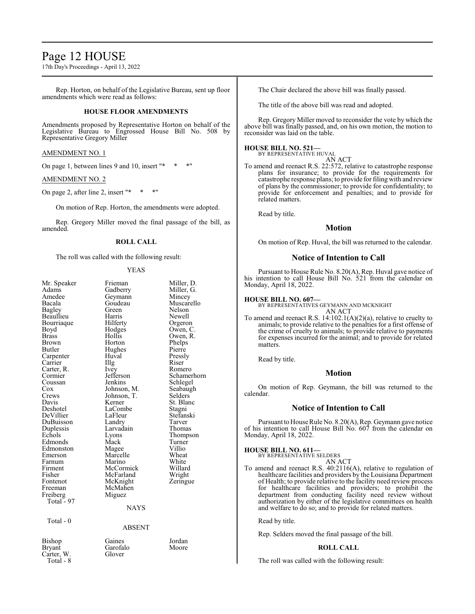# Page 12 HOUSE

17th Day's Proceedings - April 13, 2022

Rep. Horton, on behalf of the Legislative Bureau, sent up floor amendments which were read as follows:

### **HOUSE FLOOR AMENDMENTS**

Amendments proposed by Representative Horton on behalf of the Legislative Bureau to Engrossed House Bill No. 508 by Representative Gregory Miller

AMENDMENT NO. 1

On page 1, between lines 9 and 10, insert "\*

AMENDMENT NO. 2

On page 2, after line 2, insert "\* \* \* "

On motion of Rep. Horton, the amendments were adopted.

Rep. Gregory Miller moved the final passage of the bill, as amended.

#### **ROLL CALL**

The roll was called with the following result:

YEAS

| Mr. Speaker<br>Adams<br>Amedee<br>Bacala<br>Bagley<br>Beaullieu<br>Bourriaque<br>Boyd<br><b>Brass</b><br>Brown | Frieman<br>Gadberry<br>Geymann<br>Goudeau<br>Green)<br>Harris<br>Hilferty<br>Hodges<br>Hollis<br>Horton | Miller, D.<br>Miller, G.<br>Mincey<br>Muscarello<br>Nelson<br>Newell<br>Orgeron<br>Owen, C.<br>Owen, R.<br>Phelps |
|----------------------------------------------------------------------------------------------------------------|---------------------------------------------------------------------------------------------------------|-------------------------------------------------------------------------------------------------------------------|
| Butler                                                                                                         | Hughes                                                                                                  | Pierre                                                                                                            |
| Carpenter                                                                                                      | Huval                                                                                                   | Pressly                                                                                                           |
| Carrier                                                                                                        | Illg                                                                                                    | Riser                                                                                                             |
| Carter, R.                                                                                                     | Ivey<br>Jefferson                                                                                       | Romero                                                                                                            |
| Cormier<br>Coussan                                                                                             | Jenkins                                                                                                 | Schamerhorn<br>Schlegel                                                                                           |
| Cox                                                                                                            | Johnson, M.                                                                                             | Seabaugh                                                                                                          |
| Crews                                                                                                          | Johnson, T.                                                                                             | Selders                                                                                                           |
| Davis                                                                                                          | Kerner                                                                                                  | St. Blanc                                                                                                         |
| Deshotel                                                                                                       | LaCombe                                                                                                 | Stagni                                                                                                            |
| DeVillier                                                                                                      | LaFleur                                                                                                 | Stefanski                                                                                                         |
| DuBuisson                                                                                                      | Landry                                                                                                  | Tarver                                                                                                            |
| Duplessis                                                                                                      | Larvadain                                                                                               | Thomas                                                                                                            |
| Echols                                                                                                         | Lyons                                                                                                   | Thompson                                                                                                          |
| Edmonds                                                                                                        | Mack                                                                                                    | Turner                                                                                                            |
| Edmonston                                                                                                      | Magee                                                                                                   | Villio                                                                                                            |
| Emerson                                                                                                        | Marcelle                                                                                                | Wheat                                                                                                             |
| Farnum                                                                                                         | Marino                                                                                                  | White                                                                                                             |
| Firment                                                                                                        | McCormick                                                                                               | Willard                                                                                                           |
| Fisher                                                                                                         | McFarland                                                                                               | Wright                                                                                                            |
| Fontenot                                                                                                       | McKnight                                                                                                | Zeringue                                                                                                          |
| Freeman                                                                                                        | McMahen                                                                                                 |                                                                                                                   |
| Freiberg                                                                                                       | Miguez                                                                                                  |                                                                                                                   |
| Total - 97                                                                                                     | <b>NAYS</b>                                                                                             |                                                                                                                   |
|                                                                                                                |                                                                                                         |                                                                                                                   |
| Total - 0                                                                                                      | ABSENT                                                                                                  |                                                                                                                   |
| Bishop                                                                                                         | Gaines                                                                                                  | Jordan                                                                                                            |

The Chair declared the above bill was finally passed.

The title of the above bill was read and adopted.

Rep. Gregory Miller moved to reconsider the vote by which the above bill was finally passed, and, on his own motion, the motion to reconsider was laid on the table.

# **HOUSE BILL NO. 521—**

BY REPRESENTATIVE HUVAL AN ACT

To amend and reenact R.S. 22:572, relative to catastrophe response plans for insurance; to provide for the requirements for catastrophe response plans; to provide for filing with and review of plans by the commissioner; to provide for confidentiality; to provide for enforcement and penalties; and to provide for related matters.

Read by title.

#### **Motion**

On motion of Rep. Huval, the bill was returned to the calendar.

### **Notice of Intention to Call**

Pursuant to House Rule No. 8.20(A), Rep. Huval gave notice of his intention to call House Bill No. 521 from the calendar on Monday, April 18, 2022.

# **HOUSE BILL NO. 607—**

BY REPRESENTATIVES GEYMANN AND MCKNIGHT AN ACT

To amend and reenact R.S. 14:102.1(A)(2)(a), relative to cruelty to animals; to provide relative to the penalties for a first offense of the crime of cruelty to animals; to provide relative to payments for expenses incurred for the animal; and to provide for related matters.

Read by title.

#### **Motion**

On motion of Rep. Geymann, the bill was returned to the calendar.

# **Notice of Intention to Call**

Pursuant to House Rule No. 8.20(A), Rep. Geymann gave notice of his intention to call House Bill No. 607 from the calendar on Monday, April 18, 2022.

### **HOUSE BILL NO. 611—**

BY REPRESENTATIVE SELDERS AN ACT

To amend and reenact R.S. 40:2116(A), relative to regulation of healthcare facilities and providers by the Louisiana Department of Health; to provide relative to the facility need review process for healthcare facilities and providers; to prohibit the department from conducting facility need review without authorization by either of the legislative committees on health and welfare to do so; and to provide for related matters.

Read by title.

Rep. Selders moved the final passage of the bill.

#### **ROLL CALL**

The roll was called with the following result:

Carter, W. Total - 8

Bryant Garofalo Moore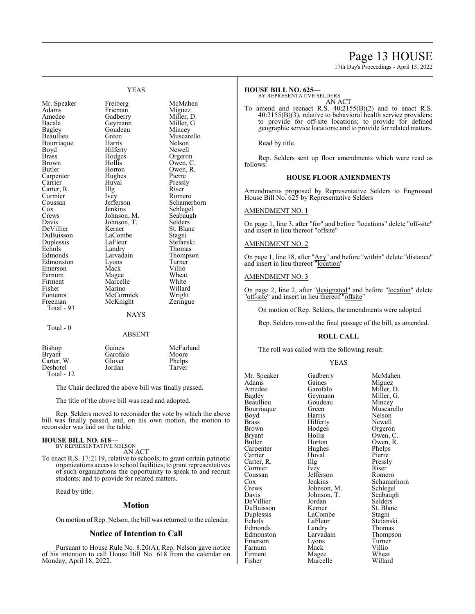# Page 13 HOUSE

17th Day's Proceedings - April 13, 2022

### YEAS

Adams Frieman<br>Amedee Gadberry Amedee Gadberry Miller, D.<br>Bacala Geymann Miller, G. Bagley Goudeau Mincey<br>Beaullieu Green Muscare Bourriaque Harris Nelson Boyd Hilferty<br>Brass Hodges Brass Hodges Orgeron<br>Brown Hollis Owen, C Brown Hollis Owen, C. Carpenter Hughe<br>Carrier Huyal Carter, R. Illg Riser<br>Cormier Ivey Romero Cormier Ivey<br>Coussan Jefferson Cox Jenkins Schlegel<br>Crews Johnson, M. Seabaugh Crews Johnson, M. Seabaugh<br>
Davis Johnson, T. Selders DeVillier Kerner St. Blanch<br>DuBuisson LaCombe Stagni DuBuisson LaCombe Stagni Duplessis LaFleur<br>Echols Landry Echols Landry Thomas<br>
Edmonds Larvadain Thomps Edmonston Lyons Turner Emerson Mack Villio<br>
Farnum Magee Wheat Farnum Magee Wheat<br>
Firment Marcelle White Firment Marcelle White<br>
Fisher Marino Willard Fisher Marino Willard Fontenot McCormick Wright<br>Freeman McKnight Zeringue Total - 93

Geymann Horton Owen, R.<br>Hughes Pierre Johnson, T. Selders<br>Kerner St. Blanc McKnight

Mr. Speaker Freiberg McMahen<br>Adams Frieman Miguez Green Muscarello<br>Harris Nelson Pressly<br>Riser Coussan Jefferson Schamerhorn<br>
Cox Jenkins Schlegel Larvadain Thompson<br>Lyons Turner

#### **NAYS**

Total - 0

#### ABSENT

| Bishop       | Gaines   | McFarland |
|--------------|----------|-----------|
| Bryant       | Garofalo | Moore     |
| Carter, W.   | Glover   | Phelps    |
| Deshotel     | Jordan   | Tarver    |
| Total - $12$ |          |           |

The Chair declared the above bill was finally passed.

The title of the above bill was read and adopted.

Rep. Selders moved to reconsider the vote by which the above bill was finally passed, and, on his own motion, the motion to reconsider was laid on the table.

#### **HOUSE BILL NO. 618—** BY REPRESENTATIVE NELSON

AN ACT

To enact R.S. 17:2119, relative to schools; to grant certain patriotic organizations access to school facilities; to grant representatives of such organizations the opportunity to speak to and recruit students; and to provide for related matters.

Read by title.

#### **Motion**

On motion of Rep. Nelson, the bill was returned to the calendar.

#### **Notice of Intention to Call**

Pursuant to House Rule No. 8.20(A), Rep. Nelson gave notice of his intention to call House Bill No. 618 from the calendar on Monday, April 18, 2022.

#### **HOUSE BILL NO. 625—**

BY REPRESENTATIVE SELDERS

- AN ACT
- To amend and reenact R.S. 40:2155(B)(2) and to enact R.S. 40:2155(B)(3), relative to behavioral health service providers; to provide for off-site locations; to provide for defined geographic service locations; and to provide for related matters.

Read by title.

Rep. Selders sent up floor amendments which were read as follows:

# **HOUSE FLOOR AMENDMENTS**

Amendments proposed by Representative Selders to Engrossed House Bill No. 625 by Representative Selders

#### AMENDMENT NO. 1

On page 1, line 3, after "for" and before "locations" delete "off-site" and insert in lieu thereof "offsite"

### AMENDMENT NO. 2

On page 1, line 18, after "Any" and before "within" delete "distance" and insert in lieu thereof "location"

#### AMENDMENT NO. 3

On page 2, line 2, after "designated" and before "location" delete "off-site" and insert in lieu thereof "offsite"

On motion of Rep. Selders, the amendments were adopted.

Rep. Selders moved the final passage of the bill, as amended.

#### **ROLL CALL**

The roll was called with the following result:

#### YEAS

| Mr. Speaker  | Gadberry    | McMahen     |
|--------------|-------------|-------------|
| Adams        | Gaines      | Miguez      |
| Amedee       | Garofalo    | Miller, D.  |
| Bagley       | Geymann     | Miller, G.  |
| Beaullieu    | Goudeau     | Mincey      |
| Bourriaque   | Green       | Muscarello  |
| Boyd         | Harris      | Nelson      |
| <b>Brass</b> | Hilferty    | Newell      |
| Brown        | Hodges      | Orgeron     |
| Bryant       | Hollis      | Owen, C.    |
| Butler       | Horton      | Owen, R.    |
| Carpenter    | Hughes      | Phelps      |
| Carrier      | Huval       | Pierre      |
| Carter, R.   | Illg        | Pressly     |
| Cormier      | Ivey        | Riser       |
| Coussan      | Jefferson   | Romero      |
| Cox          | Jenkins     | Schamerhorn |
| Crews        | Johnson, M. | Schlegel    |
| Davis        | Johnson, T. | Seabaugh    |
| DeVillier    | Jordan      | Selders     |
| DuBuisson    | Kerner      | St. Blanc   |
| Duplessis    | LaCombe     | Stagni      |
| Echols       | LaFleur     | Stefanski   |
| Edmonds      | Landry      | Thomas      |
| Edmonston    | Larvadain   | Thompson    |
| Emerson      | Lyons       | Turner      |
| Farnum       | Mack        | Villio      |
| Firment      | Magee       | Wheat       |
| Fisher       | Marcelle    | Willard     |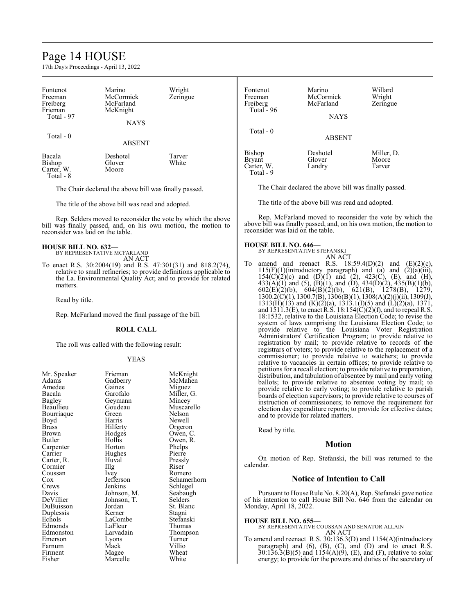# Page 14 HOUSE

17th Day's Proceedings - April 13, 2022

| Fontenot<br>Freeman<br>Freiberg<br>Frieman<br>Total - 97 | Marino<br>McCormick<br>McFarland<br>McKnight<br><b>NAYS</b> | Wright<br>Zeringue | Fontenot<br>Freeman<br>Freiberg<br>Total - 96      | Marino<br>McCormick<br>McFarland<br><b>NAYS</b>       | Willard<br>Wright<br>Zeringue |  |
|----------------------------------------------------------|-------------------------------------------------------------|--------------------|----------------------------------------------------|-------------------------------------------------------|-------------------------------|--|
| Total - 0                                                | <b>ABSENT</b>                                               |                    | Total $-0$                                         | <b>ABSENT</b>                                         |                               |  |
| Bacala<br>Bishop<br>Carter, W.<br>Total - 8              | Deshotel<br>Glover<br>Moore                                 | Tarver<br>White    | Bishop<br><b>Bryant</b><br>Carter, W.<br>Total - 9 | Deshotel<br>Glover<br>Landry                          | Miller, D.<br>Moore<br>Tarver |  |
|                                                          | The Chair declared the above bill was finally passed.       |                    |                                                    | The Chair declared the above bill was finally passed. |                               |  |

The title of the above bill was read and adopted.

Rep. Selders moved to reconsider the vote by which the above bill was finally passed, and, on his own motion, the motion to reconsider was laid on the table.

# **HOUSE BILL NO. 632—**

BY REPRESENTATIVE MCFARLAND AN ACT

To enact R.S. 30:2004(19) and R.S. 47:301(31) and 818.2(74), relative to small refineries; to provide definitions applicable to the La. Environmental Quality Act; and to provide for related matters.

Read by title.

Rep. McFarland moved the final passage of the bill.

#### **ROLL CALL**

The roll was called with the following result:

#### YEAS

| Mr. Speaker<br>Adams<br>Amedee<br>Bacala<br><b>Bagley</b><br>Beaullieu<br>Bourriaque<br>Boyd<br>Brass<br>Brown<br>Butler<br>Carpenter<br>Carrier<br>Carter, R.<br>Cormier<br>Coussan<br>Cox<br>Crews<br>Davis<br>DeVillier<br>DuBuisson<br>Duplessis<br>Echols<br>Edmonds<br>Edmonston<br>Emerson<br>Farnum<br>Firment | Frieman<br>Gadberry<br>Gaines<br>Garofalo<br>Geymann<br>Goudeau<br>Green<br>Harris<br>Hilferty<br>Hodges<br>Hollis<br>Horton<br>Hughes<br>Huval<br>Illg<br>Ivey<br>Jefferson<br>Jenkins<br>Johnson, M.<br>Johnson, T.<br>Jordan<br>Kerner<br>LaCombe<br>LaFleur<br>Larvadain<br>Lyons<br>Mack<br>Magee | McKnight<br>McMahen<br>Miguez<br>Miller, G.<br>Mincey<br>Muscarello<br>Nelson<br>Newell<br>Orgeron<br>Owen, C.<br>Owen, R.<br>Phelps<br>Pierre<br>Pressly<br>Riser<br>Romero<br>Schamerhorn<br>Schlegel<br>Seabaugh<br>Selders<br>St. Blanc<br>Stagni<br>Stefanski<br>Thomas<br>Thompson<br>Turner<br>Villio<br>Wheat |
|------------------------------------------------------------------------------------------------------------------------------------------------------------------------------------------------------------------------------------------------------------------------------------------------------------------------|--------------------------------------------------------------------------------------------------------------------------------------------------------------------------------------------------------------------------------------------------------------------------------------------------------|-----------------------------------------------------------------------------------------------------------------------------------------------------------------------------------------------------------------------------------------------------------------------------------------------------------------------|
| Fisher                                                                                                                                                                                                                                                                                                                 | Marcelle                                                                                                                                                                                                                                                                                               | White                                                                                                                                                                                                                                                                                                                 |
|                                                                                                                                                                                                                                                                                                                        |                                                                                                                                                                                                                                                                                                        |                                                                                                                                                                                                                                                                                                                       |

| Carter, W.<br>Total - 9 | Landry | Tarver                                                |
|-------------------------|--------|-------------------------------------------------------|
|                         |        | The Chair declared the above bill was finally passed. |

The title of the above bill was read and adopted.

Rep. McFarland moved to reconsider the vote by which the above bill was finally passed, and, on his own motion, the motion to reconsider was laid on the table.

### **HOUSE BILL NO. 646—**

BY REPRESENTATIVE STEFANSKI

AN ACT To amend and reenact R.S.  $18:59.4(D)(2)$  and  $(E)(2)(c)$ ,  $115(F)(1)$ (introductory paragraph) and (a) and  $(2)(a)(iii)$ ,  $154(C)(2)(c)$  and  $(D)(1)$  and  $(2)$ ,  $423(C)$ ,  $(E)$ , and  $(H)$ ,  $433(A)(1)$  and  $(5)$ ,  $(B)(1)$ , and  $(D)$ ,  $434(D)(2)$ ,  $435(B)(1)(b)$ , 602(E)(2)(b), 604(B)(2)(b), 621(B), 1278(B), 1279, 1300.2(C)(1), 1300.7(B), 1306(B)(1), 1308(A)(2)(j)(ii), 1309(J), 1313(H)(13) and (K)(2)(a), 1313.1(I)(5) and (L)(2)(a), 1371, and  $1511.3(E)$ , to enact R.S.  $18:154(\overline{C})(2)(f)$ , and to repeal R.S. 18:1532, relative to the Louisiana Election Code; to revise the system of laws comprising the Louisiana Election Code; to provide relative to the Louisiana Voter Registration Administrators' Certification Program; to provide relative to registration by mail; to provide relative to records of the registrars of voters; to provide relative to the replacement of a commissioner; to provide relative to watchers; to provide relative to vacancies in certain offices; to provide relative to petitions for a recall election; to provide relative to preparation, distribution, and tabulation of absentee by mail and early voting ballots; to provide relative to absentee voting by mail; to provide relative to early voting; to provide relative to parish boards of election supervisors; to provide relative to courses of instruction of commissioners; to remove the requirement for election day expenditure reports; to provide for effective dates; and to provide for related matters.

Read by title.

#### **Motion**

On motion of Rep. Stefanski, the bill was returned to the calendar.

#### **Notice of Intention to Call**

Pursuant to House Rule No. 8.20(A), Rep. Stefanski gave notice of his intention to call House Bill No. 646 from the calendar on Monday, April 18, 2022.

#### **HOUSE BILL NO. 655—**

BY REPRESENTATIVE COUSSAN AND SENATOR ALLAIN AN ACT

To amend and reenact R.S. 30:136.3(D) and 1154(A)(introductory paragraph) and (6), (B), (C), and (D) and to enact R.S.  $30:136.3(B)(5)$  and  $1154(A)(9)$ , (E), and (F), relative to solar energy; to provide for the powers and duties of the secretary of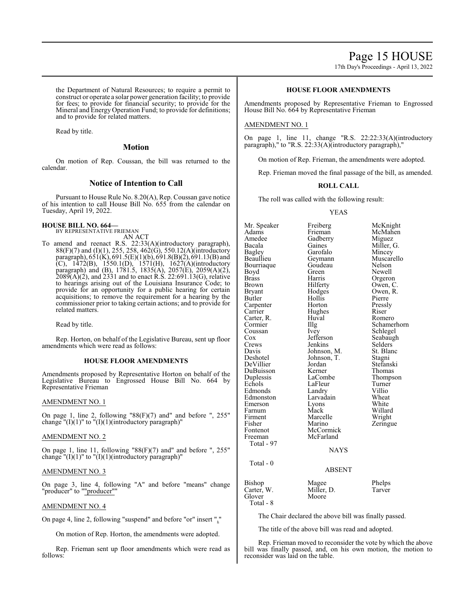# Page 15 HOUSE

17th Day's Proceedings - April 13, 2022

the Department of Natural Resources; to require a permit to construct or operate a solar power generation facility; to provide for fees; to provide for financial security; to provide for the Mineral and Energy Operation Fund; to provide for definitions; and to provide for related matters.

Read by title.

### **Motion**

On motion of Rep. Coussan, the bill was returned to the calendar.

# **Notice of Intention to Call**

Pursuant to House Rule No. 8.20(A), Rep. Coussan gave notice of his intention to call House Bill No. 655 from the calendar on Tuesday, April 19, 2022.

### **HOUSE BILL NO. 664—**

BY REPRESENTATIVE FRIEMAN AN ACT

To amend and reenact R.S. 22:33(A)(introductory paragraph), 88(F)(7) and (I)(1), 255, 258, 462(G), 550.12(A)(introductory paragraph), 651(K), 691.5(E)(1)(b), 691.8(B)(2), 691.13(B) and  $(C)$ , 1472(B), 1550.1(D), 1571(H), 1627(A)(introductory paragraph) and (B), 1781.5, 1835(A), 2057(E), 2059(A)(2),  $2089(A)(2)$ , and  $2331$  and to enact R.S. 22:691.13(G), relative to hearings arising out of the Louisiana Insurance Code; to provide for an opportunity for a public hearing for certain acquisitions; to remove the requirement for a hearing by the commissioner prior to taking certain actions; and to provide for related matters.

Read by title.

Rep. Horton, on behalf of the Legislative Bureau, sent up floor amendments which were read as follows:

#### **HOUSE FLOOR AMENDMENTS**

Amendments proposed by Representative Horton on behalf of the Legislative Bureau to Engrossed House Bill No. 664 by Representative Frieman

#### AMENDMENT NO. 1

On page 1, line 2, following "88(F)(7) and" and before ", 255" change "(I)(1)" to "(I)(1)(introductory paragraph)"

#### AMENDMENT NO. 2

On page 1, line 11, following "88(F)(7) and" and before ", 255" change " $(I)(1)$ " to " $(I)(1)(introductory paragraph)$ "

# AMENDMENT NO. 3

On page 3, line 4, following "A" and before "means" change "producer" to ""producer""

# AMENDMENT NO. 4

On page 4, line 2, following "suspend" and before "or" insert ","

On motion of Rep. Horton, the amendments were adopted.

Rep. Frieman sent up floor amendments which were read as follows:

# **HOUSE FLOOR AMENDMENTS**

Amendments proposed by Representative Frieman to Engrossed House Bill No. 664 by Representative Frieman

# AMENDMENT NO. 1

On page 1, line 11, change "R.S. 22:22:33(A)(introductory paragraph)," to "R.S. 22:33(A)(introductory paragraph),"

On motion of Rep. Frieman, the amendments were adopted.

Rep. Frieman moved the final passage of the bill, as amended.

#### **ROLL CALL**

The roll was called with the following result:

#### YEAS

Adams Frieman McMahen<br>Amedee Gadberry Miguez Amedee Gadberry<br>Bacala Gaines Bacala Gaines Miller, G. Bagley Garofalo<br>Beaullieu Geymann Bourriaque Goude<br>Boyd Green Boyd Green Newell<br>Brass Harris Orgerol Brass Harris Orgeron Brown Hilferty Owen, C.<br>Bryant Hodges Owen. R. Bryant Hodges Owen, R.<br>Butler Hollis Pierre Carpenter Horton Press<br>
Carrier Hughes Riser Carter, R. Huv<br>Cormier Hllg Cormier Illg Schamerhorn<br>
Coussan Ivey Schlegel Coussan Ivey Schlegel<br>Cox Jefferson Seabaugl Cox **Jefferson** Seabaugh<br>Crews **Jenkins** Selders Crews Jenkins Selders<br>Davis Johnson, M. St. Blanc Davis Johnson, M. St. Blanck<br>Deshotel Johnson, T. Stagni DeVillier Jordan Stefanski DuBuisson Kerner<br>Duplessis LaCombe Duplessis LaCombe Thompson<br>
Echols LaFleur Turner Edmonds Landry Villio<br>Edmonston Larvadain Wheat Edmonston Larvadain Wheat<br>
Emerson Lyons White Emerson Lyons White<br>
Farnum Mack Willard Farnum Mack Willard<br>Firment Marcelle Wright Firment Marcelle<br>Fisher Marino Fisher Marino Zeringue<br>Fontenot McCormick Zeringue McCormick Freeman McFarland Total - 97 Total - 0

Mr. Speaker Freiberg McKnight Geymann Muscarello<br>Goudeau Nelson Hollis Pierre<br>
Horton Pressly Hughes Riser<br>Huval Romero Johnson, T. Stagni<br>Jordan Stefanski LaFleur Turner<br>
Landry Villio

#### NAYS

# ABSENT

Bishop Magee Phelps<br>Carter, W. Miller, D. Tarver Carter, W.<br>Glover Moore Total - 8

The Chair declared the above bill was finally passed.

The title of the above bill was read and adopted.

Rep. Frieman moved to reconsider the vote by which the above bill was finally passed, and, on his own motion, the motion to reconsider was laid on the table.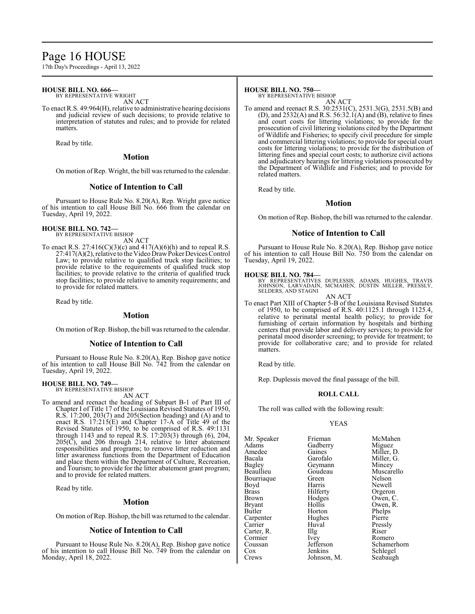# Page 16 HOUSE

17th Day's Proceedings - April 13, 2022

#### **HOUSE BILL NO. 666—** BY REPRESENTATIVE WRIGHT

AN ACT

To enact R.S. 49:964(H), relative to administrative hearing decisions and judicial review of such decisions; to provide relative to interpretation of statutes and rules; and to provide for related matters.

Read by title.

# **Motion**

On motion of Rep. Wright, the bill was returned to the calendar.

# **Notice of Intention to Call**

Pursuant to House Rule No. 8.20(A), Rep. Wright gave notice of his intention to call House Bill No. 666 from the calendar on Tuesday, April 19, 2022.

#### **HOUSE BILL NO. 742—** BY REPRESENTATIVE BISHOP

AN ACT

To enact R.S.  $27:416(C)(3)(c)$  and  $417(A)(6)(h)$  and to repeal R.S.  $27:417(A)(2)$ , relative to the Video Draw Poker Devices Control Law; to provide relative to qualified truck stop facilities; to provide relative to the requirements of qualified truck stop facilities; to provide relative to the criteria of qualified truck stop facilities; to provide relative to amenity requirements; and to provide for related matters.

Read by title.

# **Motion**

On motion of Rep. Bishop, the bill was returned to the calendar.

# **Notice of Intention to Call**

Pursuant to House Rule No. 8.20(A), Rep. Bishop gave notice of his intention to call House Bill No. 742 from the calendar on Tuesday, April 19, 2022.

# **HOUSE BILL NO. 749—**

BY REPRESENTATIVE BISHOP AN ACT

To amend and reenact the heading of Subpart B-1 of Part III of Chapter I of Title 17 of the Louisiana Revised Statutes of 1950, R.S. 17:200, 203(7) and 205(Section heading) and (A) and to enact R.S. 17:215(E) and Chapter 17-A of Title 49 of the Revised Statutes of 1950, to be comprised of R.S. 49:1131 through 1143 and to repeal R.S. 17:203(3) through (6), 204,  $205(\overline{C})$ , and  $206$  through 214, relative to litter abatement responsibilities and programs; to remove litter reduction and litter awareness functions from the Department of Education and place them within the Department of Culture, Recreation, and Tourism; to provide for the litter abatement grant program; and to provide for related matters.

Read by title.

# **Motion**

On motion of Rep. Bishop, the bill was returned to the calendar.

# **Notice of Intention to Call**

Pursuant to House Rule No. 8.20(A), Rep. Bishop gave notice of his intention to call House Bill No. 749 from the calendar on Monday, April 18, 2022.

# **HOUSE BILL NO. 750—**

BY REPRESENTATIVE BISHOP AN ACT

To amend and reenact R.S. 30:2531(C), 2531.3(G), 2531.5(B) and (D), and  $2532(A)$  and R.S. 56:32.1(A) and (B), relative to fines and court costs for littering violations; to provide for the prosecution of civil littering violations cited by the Department of Wildlife and Fisheries; to specify civil procedure for simple and commercial littering violations; to provide for special court costs for littering violations; to provide for the distribution of littering fines and special court costs; to authorize civil actions and adjudicatory hearings for littering violations prosecuted by the Department of Wildlife and Fisheries; and to provide for related matters.

Read by title.

# **Motion**

On motion of Rep. Bishop, the bill was returned to the calendar.

# **Notice of Intention to Call**

Pursuant to House Rule No. 8.20(A), Rep. Bishop gave notice of his intention to call House Bill No. 750 from the calendar on Tuesday, April 19, 2022.

**HOUSE BILL NO. 784—**<br>
BY REPRESENTATIVES DUPLESSIS, ADAMS, HUGHES, TRAVIS<br>
JOHNSON, LARVADAIN, MCMAHEN, DUSTIN MILLER, PRESSLY,<br>
SELDERS, AND STAGNI<br>
AN ACT

To enact Part XIII of Chapter 5-B of the Louisiana Revised Statutes of 1950, to be comprised of R.S. 40:1125.1 through 1125.4, relative to perinatal mental health policy; to provide for furnishing of certain information by hospitals and birthing centers that provide labor and delivery services; to provide for perinatal mood disorder screening; to provide for treatment; to provide for collaborative care; and to provide for related matters.

Read by title.

Rep. Duplessis moved the final passage of the bill.

# **ROLL CALL**

The roll was called with the following result:

#### YEAS

Mr. Speaker Frieman McMahen<br>Adams Gadberry Miguez Adams Gadberry<br>Amedee Gaines Amedee Gaines Miller, D.<br>Bacala Garofalo Miller, G. Bacala Garofalo Miller, G.<br>Bagley Geymann Mincey Bagley Geymann<br>Beaullieu Goudeau Bourriaque Green<br>Boyd Harris Boyd Harris Newell<br>Brass Hilferty Orgeror Brass Hilferty Orgeron<br>Brown Hodges Owen, C Brown Hodges Owen, C. Bryant Hollis Owen, R. Carpenter Hughe<br>Carrier Huval Carrier Huval Pressly<br>Carter, R. Illg Riser Carter, R. Illg Riser Cormier Livey Romero Cormier Ivey<br>Coussan Jefferson Cox Jenkins Schlegel<br>Crews Johnson, M. Seabaugh Johnson, M.

Goudeau Muscarello<br>Green Nelson Horton Phelps<br>
Hughes Pierre Schamerhorn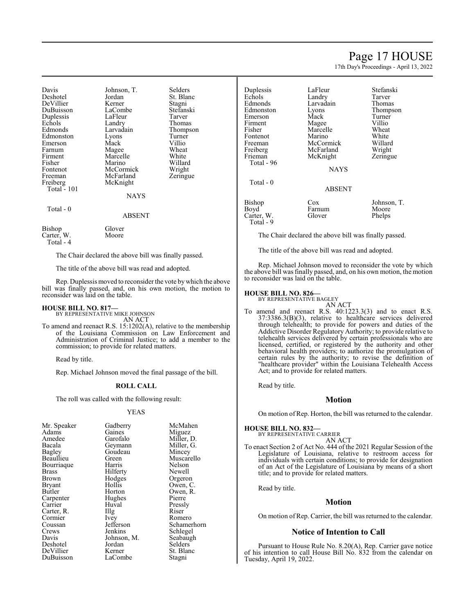# Page 17 HOUSE

17th Day's Proceedings - April 13, 2022

| Davis                                                                                                                                                                                             | Johnson, T.<br>Jordan                                                                                                                                              | Selders<br>St. Blanc                                                                                                       |
|---------------------------------------------------------------------------------------------------------------------------------------------------------------------------------------------------|--------------------------------------------------------------------------------------------------------------------------------------------------------------------|----------------------------------------------------------------------------------------------------------------------------|
| Deshotel<br>DeVillier<br>DuBuisson<br>Duplessis<br>Echols<br>Edmonds<br>Edmonston<br>Emerson<br>Farnum<br>Firment<br>Fisher<br>Fontenot<br>Freeman<br>Freiberg<br><b>Total - 101</b><br>Total - 0 | Kerner<br>LaCombe<br>LaFleur<br>Landry<br>Larvadain<br>Lyons<br>Mack<br>Magee<br>Marcelle<br>Marino<br>McCormick<br>McFarland<br>McKnight<br>NAYS<br><b>ABSENT</b> | Stagni<br>Stefanski<br>Tarver<br>Thomas<br>Thompson<br>Turner<br>Villio<br>Wheat<br>White<br>Willard<br>Wright<br>Zeringue |
| Bishop<br>Carter, W.<br>$Total - 4$                                                                                                                                                               | Glover<br>Moore                                                                                                                                                    |                                                                                                                            |

The Chair declared the above bill was finally passed.

The title of the above bill was read and adopted.

Rep. Duplessis moved to reconsider the vote bywhich the above bill was finally passed, and, on his own motion, the motion to reconsider was laid on the table.

#### **HOUSE BILL NO. 817—**

BY REPRESENTATIVE MIKE JOHNSON AN ACT

To amend and reenact R.S. 15:1202(A), relative to the membership of the Louisiana Commission on Law Enforcement and Administration of Criminal Justice; to add a member to the commission; to provide for related matters.

Read by title.

Rep. Michael Johnson moved the final passage of the bill.

#### **ROLL CALL**

The roll was called with the following result:

#### YEAS

| Mr. Speaker | Gadberry          | McMahen     |
|-------------|-------------------|-------------|
| Adams       | Gaines            | Miguez      |
| Amedee      | Garofalo          | Miller, D.  |
| Bacala      | Geymann           | Miller, G.  |
| Bagley      | Goudeau           | Mincey      |
| Beaullieu   | Green             | Muscarello  |
| Bourriaque  | Harris            | Nelson      |
| Brass       | Hilferty          | Newell      |
| Brown       | Hodges            | Orgeron     |
| Bryant      | Hollis            | Owen, C.    |
| Butler      | Horton            | Owen, R.    |
| Carpenter   | Hughes            | Pierre      |
| Carrier     | Huval             | Pressly     |
| Carter, R.  | $\prod_{i=1}^{n}$ | Riser       |
| Cormier     | Ivey              | Romero      |
| Coussan     | Jefferson         | Schamerhorn |
| Crews       | Jenkins           | Schlegel    |
| Davis       | Johnson, M.       | Seabaugh    |
| Deshotel    | Jordan            | Selders     |
| DeVillier   | Kerner            | St. Blanc   |
| DuBuisson   | LaCombe           | Stagni      |

| Duplessis<br>Echols<br>Edmonds<br>Edmonston<br>Emerson<br>Firment<br>Fisher<br>Fontenot<br>Freeman<br>Freiberg<br>Frieman<br>Total - 96 | LaFleur<br>Landry<br>Larvadain<br>Lyons<br>Mack<br>Magee<br>Marcelle<br>Marino<br>McCormick<br>McFarland<br>McKnight<br><b>NAYS</b> | Stefanski<br>Tarver<br>Thomas<br>Thompson<br>Turner<br>Villio<br>Wheat<br>White<br>Willard<br>Wright<br>Zeringue |
|-----------------------------------------------------------------------------------------------------------------------------------------|-------------------------------------------------------------------------------------------------------------------------------------|------------------------------------------------------------------------------------------------------------------|
| Total - 0                                                                                                                               | <b>ABSENT</b>                                                                                                                       |                                                                                                                  |
| Bishop<br>Boyd<br>Carter, W.<br>Total - 9                                                                                               | Cox<br>Farnum<br>Glover                                                                                                             | Johnson, T.<br>Moore<br>Phelps                                                                                   |

The Chair declared the above bill was finally passed.

The title of the above bill was read and adopted.

Rep. Michael Johnson moved to reconsider the vote by which the above bill was finally passed, and, on his own motion, the motion to reconsider was laid on the table.

## **HOUSE BILL NO. 826—**

BY REPRESENTATIVE BAGLEY AN ACT

To amend and reenact R.S. 40:1223.3(3) and to enact R.S. 37:3386.3(B)(3), relative to healthcare services delivered through telehealth; to provide for powers and duties of the Addictive Disorder Regulatory Authority; to provide relative to telehealth services delivered by certain professionals who are licensed, certified, or registered by the authority and other behavioral health providers; to authorize the promulgation of certain rules by the authority; to revise the definition of "healthcare provider" within the Louisiana Telehealth Access Act; and to provide for related matters.

Read by title.

#### **Motion**

On motion of Rep. Horton, the bill was returned to the calendar.

# **HOUSE BILL NO. 832—** BY REPRESENTATIVE CARRIER

- AN ACT
- To enact Section 2 of Act No. 444 of the 2021 Regular Session of the Legislature of Louisiana, relative to restroom access for individuals with certain conditions; to provide for designation of an Act of the Legislature of Louisiana by means of a short title; and to provide for related matters.

Read by title.

# **Motion**

On motion of Rep. Carrier, the bill was returned to the calendar.

#### **Notice of Intention to Call**

Pursuant to House Rule No. 8.20(A), Rep. Carrier gave notice of his intention to call House Bill No. 832 from the calendar on Tuesday, April 19, 2022.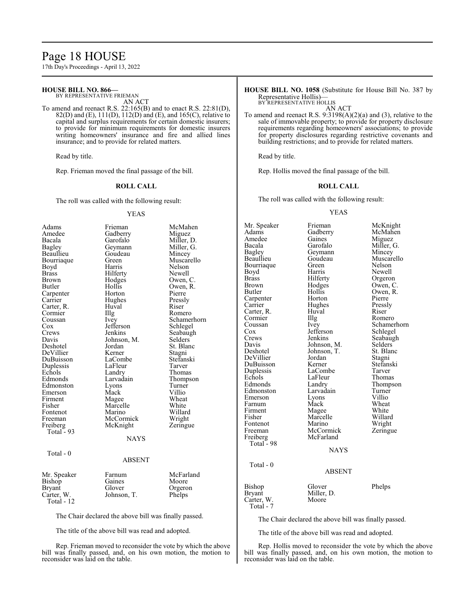# Page 18 HOUSE

17th Day's Proceedings - April 13, 2022

# **HOUSE BILL NO. 866—**

BY REPRESENTATIVE FRIEMAN AN ACT

To amend and reenact R.S. 22:165(B) and to enact R.S. 22:81(D), 82(D) and (E), 111(D), 112(D) and (E), and 165(C), relative to capital and surplus requirements for certain domestic insurers; to provide for minimum requirements for domestic insurers writing homeowners' insurance and fire and allied lines insurance; and to provide for related matters.

Read by title.

Rep. Frieman moved the final passage of the bill.

#### **ROLL CALL**

The roll was called with the following result:

#### YEAS

| Adams        | Frieman     | McMahen     |
|--------------|-------------|-------------|
| Amedee       | Gadberry    | Miguez      |
| Bacala       | Garofalo    | Miller, D.  |
| Bagley       | Geymann     | Miller, G.  |
| Beaullieu    | Goudeau     | Mincey      |
| Bourriaque   | Green       | Muscarello  |
| Boyd         | Harris      | Nelson      |
| <b>Brass</b> | Hilferty    | Newell      |
| Brown        | Hodges      | Owen, C.    |
| Butler       | Hollis      | Owen, R.    |
| Carpenter    | Horton      | Pierre      |
| Carrier      | Hughes      | Pressly     |
| Carter, R.   | Huval       | Riser       |
| Cormier      | Illg        | Romero      |
| Coussan      | Ivey        | Schamerhorn |
| Cox          | Jefferson   | Schlegel    |
| Crews        | Jenkins     | Seabaugh    |
| Davis        | Johnson, M. | Selders     |
| Deshotel     | Jordan      | St. Blanc   |
| DeVillier    | Kerner      | Stagni      |
| DuBuisson    | LaCombe     | Stefanski   |
| Duplessis    | LaFleur     | Tarver      |
| Echols       | Landry      | Thomas      |
| Edmonds      | Larvadain   | Thompson    |
| Edmonston    | Lyons       | Turner      |
| Emerson      | Mack        | Villio      |
| Firment      | Magee       | Wheat       |
| Fisher       | Marcelle    | White       |
| Fontenot     | Marino      | Willard     |
| Freeman      | McCormick   | Wright      |
| Freiberg     | McKnight    | Zeringue    |
| Total - 93   |             |             |
|              | <b>NAYS</b> |             |
| Total - 0    |             |             |
|              | ABSENT      |             |
| Mr. Speaker  | Farnum      | McFarland   |
| Bishop       | Gaines      | Moore       |
| Bryant       | Glover      | Orgeron     |
| Carter, W.   | Johnson, T. | Phelps      |
| Total - 12   |             |             |

The Chair declared the above bill was finally passed.

The title of the above bill was read and adopted.

Rep. Frieman moved to reconsider the vote by which the above bill was finally passed, and, on his own motion, the motion to reconsider was laid on the table.

**HOUSE BILL NO. 1058** (Substitute for House Bill No. 387 by Representative Hollis)— BY REPRESENTATIVE HOLLIS

AN ACT

To amend and reenact R.S. 9:3198(A)(2)(a) and (3), relative to the sale of immovable property; to provide for property disclosure requirements regarding homeowners' associations; to provide for property disclosures regarding restrictive covenants and building restrictions; and to provide for related matters.

Read by title.

Rep. Hollis moved the final passage of the bill.

#### **ROLL CALL**

The roll was called with the following result:

#### YEAS

| Mr. Speaker   | Frieman       | McKnight    |
|---------------|---------------|-------------|
| Adams         | Gadberry      | McMahen     |
| Amedee        | Gaines        | Miguez      |
| Bacala        | Garofalo      | Miller, G.  |
| Bagley        | Geymann       | Mincey      |
| Beaullieu     | Goudeau       | Muscarello  |
| Bourriaque    | Green         | Nelson      |
| Boyd          | Harris        | Newell      |
| <b>Brass</b>  | Hilferty      | Orgeron     |
| <b>Brown</b>  | Hodges        | Owen, C.    |
| Butler        | Hollis        | Owen, R.    |
| Carpenter     | Horton        | Pierre      |
| Carrier       | Hughes        | Pressly     |
| Carter, R.    | Huval         | Riser       |
| Cormier       | Illg          | Romero      |
| Coussan       | Ivey          | Schamerhorn |
| Cox           | Jefferson     | Schlegel    |
| Crews         | Jenkins       | Seabaugh    |
| Davis         | Johnson, M.   | Selders     |
| Deshotel      | Johnson, T.   | St. Blanc   |
| DeVillier     | Jordan        | Stagni      |
| DuBuisson     | Kerner        | Stefanski   |
| Duplessis     | LaCombe       | Tarver      |
| Echols        | LaFleur       | Thomas      |
| Edmonds       | Landry        | Thompson    |
| Edmonston     | Larvadain     | Turner      |
| Emerson       | Lyons         | Villio      |
| Farnum        | Mack          | Wheat       |
| Firment       | Magee         | White       |
| Fisher        | Marcelle      | Willard     |
| Fontenot      | Marino        | Wright      |
| Freeman       | McCormick     | Zeringue    |
| Freiberg      | McFarland     |             |
| Total - 98    |               |             |
|               | <b>NAYS</b>   |             |
|               |               |             |
| Total - 0     |               |             |
|               | <b>ABSENT</b> |             |
|               |               |             |
| Bishop        | Glover        | Phelps      |
| <b>Bryant</b> | Miller, D.    |             |
| Carter, W.    | Moore         |             |
| Total - 7     |               |             |
|               |               |             |

The Chair declared the above bill was finally passed.

The title of the above bill was read and adopted.

Rep. Hollis moved to reconsider the vote by which the above bill was finally passed, and, on his own motion, the motion to reconsider was laid on the table.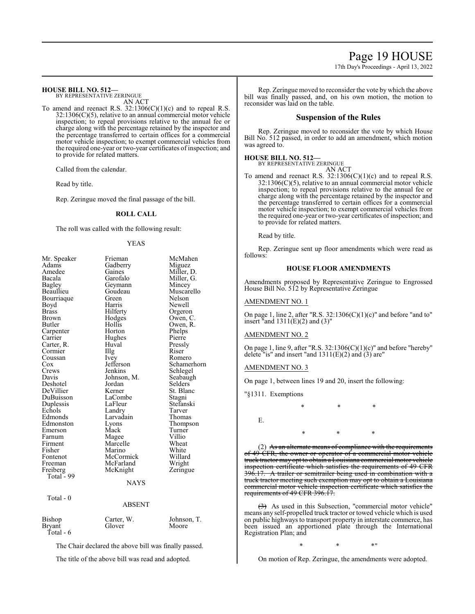# Page 19 HOUSE

17th Day's Proceedings - April 13, 2022

# **HOUSE BILL NO. 512—**

BY REPRESENTATIVE ZERINGUE AN ACT

To amend and reenact R.S.  $32:1306(C)(1)(c)$  and to repeal R.S. 32:1306(C)(5), relative to an annual commercial motor vehicle inspection; to repeal provisions relative to the annual fee or charge along with the percentage retained by the inspector and the percentage transferred to certain offices for a commercial motor vehicle inspection; to exempt commercial vehicles from the required one-year or two-year certificates of inspection; and to provide for related matters.

Called from the calendar.

Read by title.

Rep. Zeringue moved the final passage of the bill.

# **ROLL CALL**

The roll was called with the following result:

#### YEAS

| Mr. Speaker  | Frieman       | McMahen     |
|--------------|---------------|-------------|
| Adams        | Gadberry      | Miguez      |
| Amedee       | Gaines        | Miller, D.  |
| Bacala       | Garofalo      | Miller, G.  |
| Bagley       | Geymann       | Mincey      |
| Beaullieu    | Goudeau       | Muscarello  |
| Bourriaque   | Green         | Nelson      |
| Boyd         | Harris        | Newell      |
| <b>Brass</b> | Hilferty      | Orgeron     |
| Brown        | Hodges        | Owen, C.    |
| Butler       | Hollis        | Owen, R.    |
| Carpenter    | Horton        | Phelps      |
| Carrier      | Hughes        | Pierre      |
| Carter, R.   | Huval         | Pressly     |
| Cormier      | Illg          | Riser       |
| Coussan      | Ivey          | Romero      |
| $\cos$       | Jefferson     | Schamerhorn |
| Crews        | Jenkins       | Schlegel    |
| Davis        | Johnson, M.   | Seabaugh    |
| Deshotel     | Jordan        | Selders     |
| DeVillier    | Kerner        | St. Blanc   |
| DuBuisson    | LaCombe       | Stagni      |
| Duplessis    | LaFleur       | Stefanski   |
| Echols       | Landry        | Tarver      |
| Edmonds      | Larvadain     | Thomas      |
| Edmonston    | Lyons         | Thompson    |
| Emerson      | Mack          | Turner      |
| Farnum       | Magee         | Villio      |
| Firment      | Marcelle      | Wheat       |
| Fisher       | Marino        | White       |
| Fontenot     | McCormick     | Willard     |
| Freeman      | McFarland     | Wright      |
| Freiberg     | McKnight      | Zeringue    |
| Total - 99   |               |             |
|              | <b>NAYS</b>   |             |
| Total - 0    |               |             |
|              | <b>ABSENT</b> |             |

Bishop Carter, W. Johnson, T.<br>Bryant Glover Moore Glover Total - 6

The Chair declared the above bill was finally passed.

The title of the above bill was read and adopted.

Rep. Zeringue moved to reconsider the vote by which the above bill was finally passed, and, on his own motion, the motion to reconsider was laid on the table.

# **Suspension of the Rules**

Rep. Zeringue moved to reconsider the vote by which House Bill No. 512 passed, in order to add an amendment, which motion was agreed to.

# **HOUSE BILL NO. 512—**

BY REPRESENTATIVE ZERINGUE AN ACT

To amend and reenact R.S.  $32:1306(C)(1)(c)$  and to repeal R.S. 32:1306(C)(5), relative to an annual commercial motor vehicle inspection; to repeal provisions relative to the annual fee or charge along with the percentage retained by the inspector and the percentage transferred to certain offices for a commercial motor vehicle inspection; to exempt commercial vehicles from the required one-year or two-year certificates of inspection; and to provide for related matters.

Read by title.

Rep. Zeringue sent up floor amendments which were read as follows:

# **HOUSE FLOOR AMENDMENTS**

Amendments proposed by Representative Zeringue to Engrossed House Bill No. 512 by Representative Zeringue

### AMENDMENT NO. 1

On page 1, line 2, after "R.S.  $32:1306(C)(1)(c)$ " and before "and to" insert "and  $1311(E)(2)$  and  $(3)$ "

#### AMENDMENT NO. 2

On page 1, line 9, after "R.S.  $32:1306(C)(1)(c)$ " and before "hereby" delete "is" and insert "and 1311(E)(2) and (3) are"

#### AMENDMENT NO. 3

On page 1, between lines 19 and 20, insert the following:

"§1311. Exemptions

\* \* \* E. \* \* \*

 $(2)$  As an alternate means of compliance with the requirements of 49 CFR, the owner or operator of a commercial motor vehicle truck tractor may opt to obtain a Louisiana commercial motor vehicle inspection certificate which satisfies the requirements of 49 CFR 396.17. A trailer or semitrailer being used in combination with a truck tractor meeting such exemption may opt to obtain a Louisiana commercial motor vehicle inspection certificate which satisfies the requirements of 49 CFR 396.17.

(3) As used in this Subsection, "commercial motor vehicle" means any self-propelled truck tractor or towed vehicle which is used on public highways to transport property in interstate commerce, has been issued an apportioned plate through the International Registration Plan; and

\* \* \*"

On motion of Rep. Zeringue, the amendments were adopted.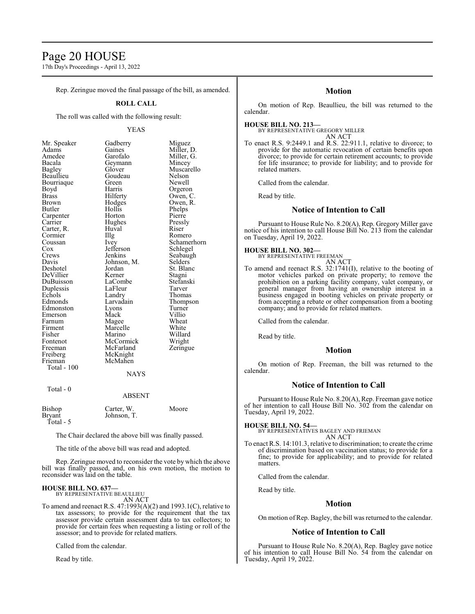# Page 20 HOUSE

17th Day's Proceedings - April 13, 2022

Rep. Zeringue moved the final passage of the bill, as amended.

### **ROLL CALL**

The roll was called with the following result:

#### YEAS

Miller, G.<br>Mincey

Muscarello<br>Nelson

Romero

Seabaugh<br>Selders

Stefanski<br>Tarver

Turner<br>Villio

| Mr. Speaker                    |
|--------------------------------|
| Adams                          |
| Amedee                         |
| Bacala                         |
| <b>Bagley</b>                  |
| Beaullieu                      |
| Bourriaque                     |
| Boyd                           |
| Brass                          |
| Brown                          |
| Butler                         |
| Carpenter                      |
| Carrier                        |
| Carter, R.                     |
| Cormier                        |
| Coussan                        |
| Čox                            |
| Crews                          |
|                                |
| Davis<br>Deshotel<br>DeVillier |
|                                |
| DuBuisson                      |
| Duplessis                      |
| Echols                         |
| Edmonds                        |
| Edmonston                      |
| Emerson                        |
| Farnum                         |
| Firment                        |
| Fisher                         |
| Fontenot                       |
| Freeman                        |
| Freiberg                       |
| Frieman                        |
| Total - 100                    |
|                                |

Gadberry Miguez<br>Gaines Miller, 1 Gaines Miller, D.<br>
Garofalo Miller, G. Geymann<br>Glover Goudeau Nelson<br>Green Newell Bourriaque Green Newell Harris Orgeron<br>Hilferty Owen, C Hilferty Owen, C.<br>Hodges Owen, R. Hodges Owen, R.<br>Hollis Phelps Hollis Phelps<br>
Horton Pierre Carpenter Horton Pierre Hughes Pressly<br>Huval Riser Huval<br>Illg Ivey Schamerhorn<br>Jefferson Schlegel Jefferson<br>Jenkins Johnson, M.<br>Jordan Jordan St. Blanc<br>Kerner Stagni Kerner Stagni<br>LaCombe Stefans LaFleur<br>Landry Landry Thomas<br>
Larvadain Thomps Larvadain Thompson<br>
Lyons Turner Mack Villio<br>
Magee Wheat Magee Wheat<br>
Marcelle White Marcelle Marino Willard<br>
McCormick Wright McCormick Wright<br>
McFarland Zeringue McFarland McKnight McMahen

# **NAYS**

Total - 0

ABSENT

Bishop Carter, W. Moore<br>Bryant Johnson, T. Johnson, T. Total - 5

The Chair declared the above bill was finally passed.

The title of the above bill was read and adopted.

Rep. Zeringue moved to reconsider the vote by which the above bill was finally passed, and, on his own motion, the motion to reconsider was laid on the table.

#### **HOUSE BILL NO. 637—**

BY REPRESENTATIVE BEAULLIEU

AN ACT To amend and reenact R.S. 47:1993(A)(2) and 1993.1(C), relative to tax assessors; to provide for the requirement that the tax assessor provide certain assessment data to tax collectors; to provide for certain fees when requesting a listing or roll of the assessor; and to provide for related matters.

Called from the calendar.

Read by title.

# **Motion**

On motion of Rep. Beaullieu, the bill was returned to the calendar.

#### **HOUSE BILL NO. 213—** BY REPRESENTATIVE GREGORY MILLER

AN ACT

To enact R.S. 9:2449.1 and R.S. 22:911.1, relative to divorce; to provide for the automatic revocation of certain benefits upon divorce; to provide for certain retirement accounts; to provide for life insurance; to provide for liability; and to provide for related matters.

Called from the calendar.

Read by title.

#### **Notice of Intention to Call**

Pursuant to House Rule No. 8.20(A), Rep. Gregory Miller gave notice of his intention to call House Bill No. 213 from the calendar on Tuesday, April 19, 2022.

# **HOUSE BILL NO. 302—** BY REPRESENTATIVE FREEMAN

AN ACT

To amend and reenact R.S. 32:1741(I), relative to the booting of motor vehicles parked on private property; to remove the prohibition on a parking facility company, valet company, or general manager from having an ownership interest in a business engaged in booting vehicles on private property or from accepting a rebate or other compensation from a booting company; and to provide for related matters.

Called from the calendar.

Read by title.

# **Motion**

On motion of Rep. Freeman, the bill was returned to the calendar.

### **Notice of Intention to Call**

Pursuant to House Rule No. 8.20(A), Rep. Freeman gave notice of her intention to call House Bill No. 302 from the calendar on Tuesday, April 19, 2022.

#### **HOUSE BILL NO. 54—**

BY REPRESENTATIVES BAGLEY AND FRIEMAN AN ACT

To enact R.S. 14:101.3, relative to discrimination; to create the crime of discrimination based on vaccination status; to provide for a fine; to provide for applicability; and to provide for related matters.

Called from the calendar.

Read by title.

## **Motion**

On motion of Rep. Bagley, the bill was returned to the calendar.

### **Notice of Intention to Call**

Pursuant to House Rule No. 8.20(A), Rep. Bagley gave notice of his intention to call House Bill No. 54 from the calendar on Tuesday, April 19, 2022.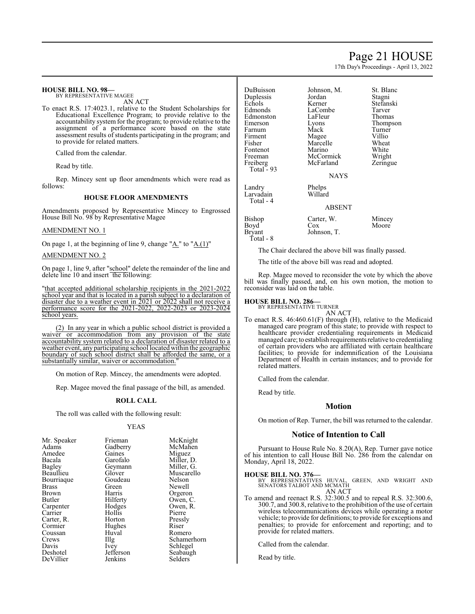# Page 21 HOUSE

17th Day's Proceedings - April 13, 2022

#### **HOUSE BILL NO. 98—** BY REPRESENTATIVE MAGEE

AN ACT

To enact R.S. 17:4023.1, relative to the Student Scholarships for Educational Excellence Program; to provide relative to the accountability system for the program; to provide relative to the assignment of a performance score based on the state assessment results of students participating in the program; and to provide for related matters.

Called from the calendar.

Read by title.

Rep. Mincey sent up floor amendments which were read as follows:

#### **HOUSE FLOOR AMENDMENTS**

Amendments proposed by Representative Mincey to Engrossed House Bill No. 98 by Representative Magee

# AMENDMENT NO. 1

On page 1, at the beginning of line 9, change "A." to "A.(1)"

AMENDMENT NO. 2

On page 1, line 9, after "school" delete the remainder of the line and delete line 10 and insert the following:

"that accepted additional scholarship recipients in the 2021-2022 school year and that is located in a parish subject to a declaration of disaster due to a weather event in 2021 or 2022 shall not receive a performance score for the 2021-2022, 2022-2023 or 2023-2024 school years.

(2) In any year in which a public school district is provided a waiver or accommodation from any provision of the state accountability system related to a declaration of disaster related to a weather event, any participating school located within the geographic boundary of such school district shall be afforded the same, or a substantially similar, waiver or accommodation.

On motion of Rep. Mincey, the amendments were adopted.

Rep. Magee moved the final passage of the bill, as amended.

#### **ROLL CALL**

The roll was called with the following result:

#### YEAS

| Mr. Speaker   | Frieman   | McKnight    |
|---------------|-----------|-------------|
| Adams         | Gadberry  | McMahen     |
| Amedee        | Gaines    | Miguez      |
| Bacala        | Garofalo  | Miller, D.  |
| Bagley        | Geymann   | Miller, G.  |
| Beaullieu     | Glover    | Muscarello  |
| Bourriaque    | Goudeau   | Nelson      |
| <b>Brass</b>  | Green     | Newell      |
| Brown         | Harris    | Orgeron     |
| <b>Butler</b> | Hilferty  | Owen, C.    |
| Carpenter     | Hodges    | Owen, R.    |
| Carrier       | Hollis    | Pierre      |
| Carter, R.    | Horton    | Pressly     |
| Cormier       | Hughes    | Riser       |
| Coussan       | Huval     | Romero      |
| Crews         | Illg      | Schamerhorn |
| Davis         | Ivey      | Schlegel    |
| Deshotel      | Jefferson | Seabaugh    |
| DeVillier     | Jenkins   | Selders     |

DuBuisson Johnson, M. St. Blanc Duplessis Jordan<br>Echols Kerner Echols Kerner Stefanski<br>Edmonds LaCombe Tarver Edmonston LaFleu<br>
Emerson Lyons Farnum Mack Turner Firment Magee Villio<br>Fisher Marcelle Wheat Fontenot Marino White<br>Freeman McCormick Wright Freeman McCormick<br>Freiberg McFarland Total  $-93$ Landry Phelps<br>Larvadain Willard Larvadain

Total - 4

LaCombe Tarver<br>
LaFleur Thomas Marcelle Wheat<br>
Marino White

Eyons Thompson<br>
Mack Turner Zeringue

NAYS

# ABSENT

Bishop Carter, W. Mincey<br>Boyd Cox Moore Boyd Cox Moore Bryant Johnson, T. Total - 8

The Chair declared the above bill was finally passed.

The title of the above bill was read and adopted.

Rep. Magee moved to reconsider the vote by which the above bill was finally passed, and, on his own motion, the motion to reconsider was laid on the table.

# **HOUSE BILL NO. 286—**

BY REPRESENTATIVE TURNER AN ACT

To enact R.S. 46:460.61(F) through (H), relative to the Medicaid managed care program of this state; to provide with respect to healthcare provider credentialing requirements in Medicaid managed care; to establish requirements relative to credentialing of certain providers who are affiliated with certain healthcare facilities; to provide for indemnification of the Louisiana Department of Health in certain instances; and to provide for related matters.

Called from the calendar.

Read by title.

### **Motion**

On motion of Rep. Turner, the bill was returned to the calendar.

## **Notice of Intention to Call**

Pursuant to House Rule No. 8.20(A), Rep. Turner gave notice of his intention to call House Bill No. 286 from the calendar on Monday, April 18, 2022.

#### **HOUSE BILL NO. 376—**

BY REPRESENTATIVES HUVAL, GREEN, AND WRIGHT AND SENATORS TALBOT AND MCMATH AN ACT

To amend and reenact R.S. 32:300.5 and to repeal R.S. 32:300.6, 300.7, and 300.8, relative to the prohibition of the use of certain wireless telecommunications devices while operating a motor vehicle; to provide for definitions; to provide for exceptions and penalties; to provide for enforcement and reporting; and to provide for related matters.

Called from the calendar.

Read by title.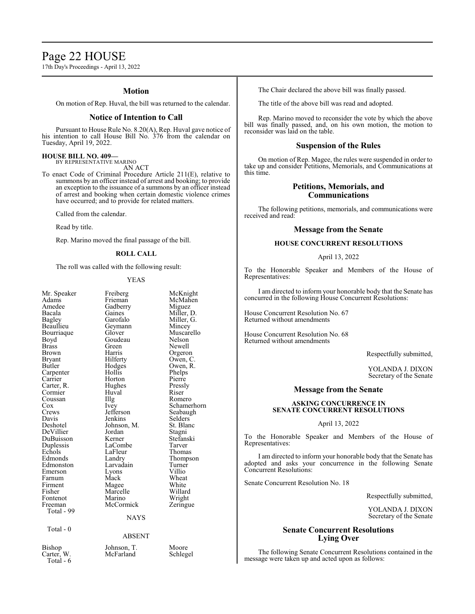# Page 22 HOUSE

17th Day's Proceedings - April 13, 2022

# **Motion**

On motion of Rep. Huval, the bill was returned to the calendar.

#### **Notice of Intention to Call**

Pursuant to House Rule No. 8.20(A), Rep. Huval gave notice of his intention to call House Bill No. 376 from the calendar on Tuesday, April 19, 2022.

#### **HOUSE BILL NO. 409—**

BY REPRESENTATIVE MARINO AN ACT

To enact Code of Criminal Procedure Article 211(E), relative to summons by an officer instead of arrest and booking; to provide an exception to the issuance of a summons by an officer instead of arrest and booking when certain domestic violence crimes have occurred; and to provide for related matters.

Called from the calendar.

Read by title.

Rep. Marino moved the final passage of the bill.

#### **ROLL CALL**

The roll was called with the following result:

#### YEAS

| Mr. Speaker | Freiberg      | McKnight    |
|-------------|---------------|-------------|
| Adams       | Frieman       | McMahen     |
| Amedee      | Gadberry      | Miguez      |
| Bacala      | Gaines        | Miller, D.  |
| Bagley      | Garofalo      | Miller, G.  |
| Beaullieu   | Geymann       | Mincey      |
| Bourriaque  | Glover        | Muscarello  |
| Boyd        | Goudeau       | Nelson      |
| Brass       | Green         | Newell      |
| Brown       | Harris        | Orgeron     |
| Bryant      | Hilferty      | Owen, C.    |
| Butler      | Hodges        | Owen, R.    |
| Carpenter   | Hollis        | Phelps      |
| Carrier     | Horton        | Pierre      |
| Carter, R.  | Hughes        | Pressly     |
| Cormier     | Huval         | Riser       |
| Coussan     | $\prod$ llg   | Romero      |
| $\cos$      | Ivey          | Schamerhorn |
| Crews       | Jefferson     | Seabaugh    |
| Davis       | Jenkins       | Selders     |
| Deshotel    | Johnson, M.   | St. Blanc   |
| DeVillier   | Jordan        | Stagni      |
| DuBuisson   | Kerner        | Stefanski   |
| Duplessis   | LaCombe       | Tarver      |
| Echols      | LaFleur       | Thomas      |
| Edmonds     | Landry        | Thompson    |
| Edmonston   | Larvadain     | Turner      |
| Emerson     | Lyons         | Villio      |
| Farnum      | Mack          | Wheat       |
| Firment     | Magee         | White       |
| Fisher      | Marcelle      | Willard     |
| Fontenot    | Marino        | Wright      |
| Freeman     | McCormick     | Zeringue    |
| Total - 99  |               |             |
|             | <b>NAYS</b>   |             |
|             |               |             |
| Total - 0   |               |             |
|             | <b>ABSENT</b> |             |
|             |               |             |
| Bishop      | Johnson, T.   | Moore       |
| Carter, W.  | McFarland     | Schlegel    |
| Total - 6   |               |             |
|             |               |             |

The Chair declared the above bill was finally passed.

The title of the above bill was read and adopted.

Rep. Marino moved to reconsider the vote by which the above bill was finally passed, and, on his own motion, the motion to reconsider was laid on the table.

### **Suspension of the Rules**

On motion of Rep. Magee, the rules were suspended in order to take up and consider Petitions, Memorials, and Communications at this time.

# **Petitions, Memorials, and Communications**

The following petitions, memorials, and communications were received and read:

## **Message from the Senate**

# **HOUSE CONCURRENT RESOLUTIONS**

April 13, 2022

To the Honorable Speaker and Members of the House of Representatives:

I am directed to inform your honorable body that the Senate has concurred in the following House Concurrent Resolutions:

House Concurrent Resolution No. 67 Returned without amendments

House Concurrent Resolution No. 68 Returned without amendments

Respectfully submitted,

YOLANDA J. DIXON Secretary of the Senate

# **Message from the Senate**

### **ASKING CONCURRENCE IN SENATE CONCURRENT RESOLUTIONS**

April 13, 2022

To the Honorable Speaker and Members of the House of Representatives:

I am directed to inform your honorable body that the Senate has adopted and asks your concurrence in the following Senate Concurrent Resolutions:

Senate Concurrent Resolution No. 18

Respectfully submitted,

YOLANDA J. DIXON Secretary of the Senate

# **Senate Concurrent Resolutions Lying Over**

The following Senate Concurrent Resolutions contained in the message were taken up and acted upon as follows: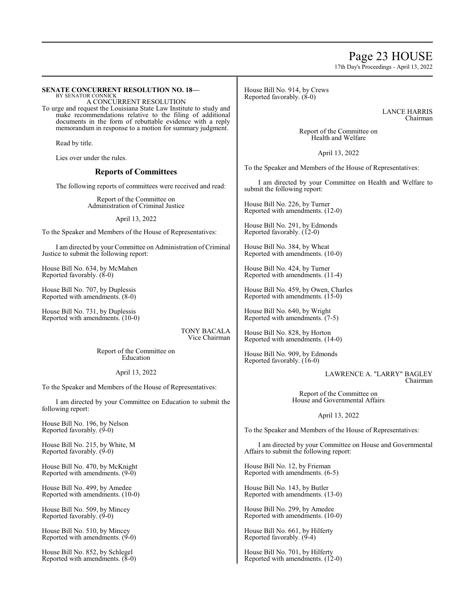# Page 23 HOUSE

17th Day's Proceedings - April 13, 2022

#### **SENATE CONCURRENT RESOLUTION NO. 18—** BY SENATOR CONNICK

A CONCURRENT RESOLUTION To urge and request the Louisiana State Law Institute to study and make recommendations relative to the filing of additional documents in the form of rebuttable evidence with a reply memorandum in response to a motion for summary judgment.

Read by title.

Lies over under the rules.

# **Reports of Committees**

The following reports of committees were received and read:

Report of the Committee on Administration of Criminal Justice

April 13, 2022

To the Speaker and Members of the House of Representatives:

I amdirected by your Committee on Administration ofCriminal Justice to submit the following report:

House Bill No. 634, by McMahen Reported favorably. (8-0)

House Bill No. 707, by Duplessis Reported with amendments. (8-0)

House Bill No. 731, by Duplessis Reported with amendments. (10-0)

> TONY BACALA Vice Chairman

Report of the Committee on Education

April 13, 2022

To the Speaker and Members of the House of Representatives:

I am directed by your Committee on Education to submit the following report:

House Bill No. 196, by Nelson Reported favorably.  $(9-0)$ 

House Bill No. 215, by White, M Reported favorably. (9-0)

House Bill No. 470, by McKnight Reported with amendments. (9-0)

House Bill No. 499, by Amedee Reported with amendments. (10-0)

House Bill No. 509, by Mincey Reported favorably.  $(9-0)$ 

House Bill No. 510, by Mincey Reported with amendments. (9-0)

House Bill No. 852, by Schlegel Reported with amendments.  $(\overline{8} - 0)$ 

House Bill No. 914, by Crews Reported favorably.  $(\check{8}$ -0)

> LANCE HARRIS Chairman

Report of the Committee on Health and Welfare

April 13, 2022

To the Speaker and Members of the House of Representatives:

I am directed by your Committee on Health and Welfare to submit the following report:

House Bill No. 226, by Turner Reported with amendments. (12-0)

House Bill No. 291, by Edmonds Reported favorably. (12-0)

House Bill No. 384, by Wheat Reported with amendments. (10-0)

House Bill No. 424, by Turner Reported with amendments. (11-4)

House Bill No. 459, by Owen, Charles Reported with amendments. (15-0)

House Bill No. 640, by Wright Reported with amendments. (7-5)

House Bill No. 828, by Horton Reported with amendments. (14-0)

House Bill No. 909, by Edmonds Reported favorably. (16-0)

> LAWRENCE A. "LARRY" BAGLEY Chairman

Report of the Committee on House and Governmental Affairs

April 13, 2022

To the Speaker and Members of the House of Representatives:

I am directed by your Committee on House and Governmental Affairs to submit the following report:

House Bill No. 12, by Frieman Reported with amendments. (6-5)

House Bill No. 143, by Butler Reported with amendments. (13-0)

House Bill No. 299, by Amedee Reported with amendments. (10-0)

House Bill No. 661, by Hilferty Reported favorably. (9-4)

House Bill No. 701, by Hilferty Reported with amendments. (12-0)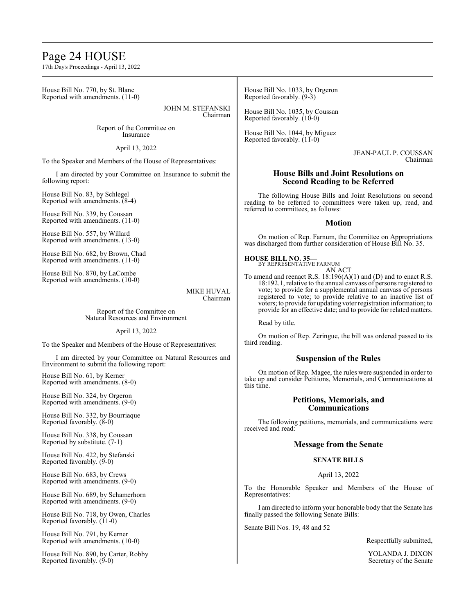# Page 24 HOUSE

17th Day's Proceedings - April 13, 2022

House Bill No. 770, by St. Blanc Reported with amendments. (11-0)

> JOHN M. STEFANSKI Chairman

Report of the Committee on Insurance

April 13, 2022

To the Speaker and Members of the House of Representatives:

I am directed by your Committee on Insurance to submit the following report:

House Bill No. 83, by Schlegel Reported with amendments. (8-4)

House Bill No. 339, by Coussan Reported with amendments. (11-0)

House Bill No. 557, by Willard Reported with amendments. (13-0)

House Bill No. 682, by Brown, Chad Reported with amendments. (11-0)

House Bill No. 870, by LaCombe Reported with amendments. (10-0)

> MIKE HUVAL Chairman

Report of the Committee on Natural Resources and Environment

April 13, 2022

To the Speaker and Members of the House of Representatives:

I am directed by your Committee on Natural Resources and Environment to submit the following report:

House Bill No. 61, by Kerner Reported with amendments. (8-0)

House Bill No. 324, by Orgeron Reported with amendments. (9-0)

House Bill No. 332, by Bourriaque Reported favorably. (8-0)

House Bill No. 338, by Coussan Reported by substitute. (7-1)

House Bill No. 422, by Stefanski Reported favorably. (9-0)

House Bill No. 683, by Crews Reported with amendments. (9-0)

House Bill No. 689, by Schamerhorn Reported with amendments. (9-0)

House Bill No. 718, by Owen, Charles Reported favorably. (11-0)

House Bill No. 791, by Kerner Reported with amendments. (10-0)

House Bill No. 890, by Carter, Robby Reported favorably.  $(9-0)$ 

House Bill No. 1033, by Orgeron Reported favorably. (9-3)

House Bill No. 1035, by Coussan Reported favorably.  $(10-0)$ 

House Bill No. 1044, by Miguez Reported favorably. (11-0)

> JEAN-PAUL P. COUSSAN Chairman

# **House Bills and Joint Resolutions on Second Reading to be Referred**

The following House Bills and Joint Resolutions on second reading to be referred to committees were taken up, read, and referred to committees, as follows:

# **Motion**

On motion of Rep. Farnum, the Committee on Appropriations was discharged from further consideration of House Bill No. 35.

**HOUSE BILL NO. 35—**

BY REPRESENTATIVE FARNUM AN ACT

To amend and reenact R.S. 18:196(A)(1) and (D) and to enact R.S. 18:192.1, relative to the annual canvass of persons registered to vote; to provide for a supplemental annual canvass of persons registered to vote; to provide relative to an inactive list of voters; to provide for updating voter registration information; to provide for an effective date; and to provide for related matters.

Read by title.

On motion of Rep. Zeringue, the bill was ordered passed to its third reading.

# **Suspension of the Rules**

On motion of Rep. Magee, the rules were suspended in order to take up and consider Petitions, Memorials, and Communications at this time.

# **Petitions, Memorials, and Communications**

The following petitions, memorials, and communications were received and read:

# **Message from the Senate**

# **SENATE BILLS**

April 13, 2022

To the Honorable Speaker and Members of the House of Representatives:

I am directed to inform your honorable body that the Senate has finally passed the following Senate Bills:

Senate Bill Nos. 19, 48 and 52

Respectfully submitted,

YOLANDA J. DIXON Secretary of the Senate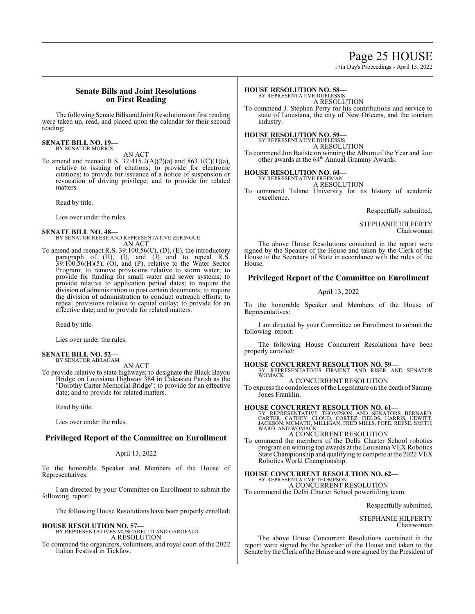# Page 25 HOUSE

17th Day's Proceedings - April 13, 2022

# **Senate Bills and Joint Resolutions on First Reading**

The following Senate Bills and Joint Resolutions on first reading were taken up, read, and placed upon the calendar for their second reading:

#### **SENATE BILL NO. 19—** BY SENATOR MORRIS

AN ACT

To amend and reenact R.S. 32:415.2(A)(2)(a) and 863.1(C)(1)(a), relative to issuing of citations; to provide for electronic citations; to provide for issuance of a notice of suspension or revocation of driving privilege; and to provide for related matters.

Read by title.

Lies over under the rules.

### **SENATE BILL NO. 48—**

- BY SENATOR REESE AND REPRESENTATIVE ZERINGUE AN ACT
- To amend and reenact R.S. 39:100.56(C), (D), (E), the introductory paragraph of (H), (I), and (J) and to repeal R.S. 39:100.56(H)(5), (O), and (P), relative to the Water Sector Program; to remove provisions relative to storm water; to provide for funding for small water and sewer systems; to provide relative to application period dates; to require the division of administration to post certain documents; to require the division of administration to conduct outreach efforts; to repeal provisions relative to capital outlay; to provide for an effective date; and to provide for related matters.

Read by title.

Lies over under the rules.

#### **SENATE BILL NO. 52—** BY SENATOR ABRAHAM

AN ACT

To provide relative to state highways; to designate the Black Bayou Bridge on Louisiana Highway 384 in Calcasieu Parish as the "Dorothy Carter Memorial Bridge"; to provide for an effective date; and to provide for related matters.

Read by title.

Lies over under the rules.

# **Privileged Report of the Committee on Enrollment**

# April 13, 2022

To the honorable Speaker and Members of the House of Representatives:

I am directed by your Committee on Enrollment to submit the following report:

The following House Resolutions have been properly enrolled:

# **HOUSE RESOLUTION NO. 57—**

BY REPRESENTATIVES MUSCARELLO AND GAROFALO A RESOLUTION

To commend the organizers, volunteers, and royal court of the 2022 Italian Festival in Tickfaw.

#### **HOUSE RESOLUTION NO. 58—**

BY REPRESENTATIVE DUPLESSIS A RESOLUTION

To commend J. Stephen Perry for his contributions and service to state of Louisiana, the city of New Orleans, and the tourism industry.

# **HOUSE RESOLUTION NO. 59—**

BY REPRESENTATIVE DUPLESSIS A RESOLUTION

To commend Jon Batiste on winning the Album of the Year and four other awards at the 64<sup>th</sup> Annual Grammy Awards.

# **HOUSE RESOLUTION NO. 60—** BY REPRESENTATIVE FREEMAN

A RESOLUTION

To commend Tulane University for its history of academic excellence.

Respectfully submitted,

STEPHANIE HILFERTY Chairwoman

The above House Resolutions contained in the report were signed by the Speaker of the House and taken by the Clerk of the House to the Secretary of State in accordance with the rules of the House.

# **Privileged Report of the Committee on Enrollment**

# April 13, 2022

To the honorable Speaker and Members of the House of Representatives:

I am directed by your Committee on Enrollment to submit the following report:

The following House Concurrent Resolutions have been properly enrolled:

#### **HOUSE CONCURRENT RESOLUTION NO. 59—**

BY REPRESENTATIVES FIRMENT AND RISER AND SENATOR WOMACK A CONCURRENT RESOLUTION

To express the condolences of the Legislature on the death of Sammy Jones Franklin.

**HOUSE CONCURRENT RESOLUTION NO. 61—**<br>BY REPRESENTATIVE THOMPSON AND SENATORS BERNARD,<br>CARTER, CATHEY, CLOUD, CORTEZ, FIELDS, HARRIS, HEWITT,<br>JACKSON, MCMATH, MILLIGAN, FRED MILLS, POPE, REESE, SMITH,<br>WARD, AND WOMACK A CONCURRENT RESOLUTION

To commend the members of the Delhi Charter School robotics program on winning top awards at the Louisiana VEX Robotics State Championship and qualifying to compete at the 2022 VEX Robotics World Championship.

# **HOUSE CONCURRENT RESOLUTION NO. 62—**

BY REPRESENTATIVE THOMPSON A CONCURRENT RESOLUTION To commend the Delhi Charter School powerlifting team.

Respectfully submitted,

#### STEPHANIE HILFERTY Chairwoman

The above House Concurrent Resolutions contained in the report were signed by the Speaker of the House and taken to the Senate by the Clerk of the House and were signed by the President of